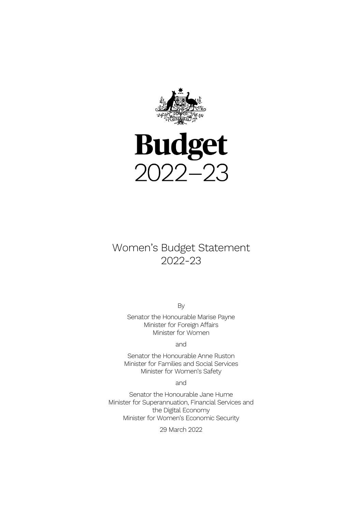

# **Budget**  $2022 - 23$

# Women's Budget Statement 2022-23

By

Senator the Honourable Marise Payne Minister for Foreign Affairs Minister for Women

and

Senator the Honourable Anne Ruston Minister for Families and Social Services Minister for Women's Safety

and

Senator the Honourable Jane Hume Minister for Superannuation, Financial Services and the Digital Economy Minister for Women's Economic Security

29 March 2022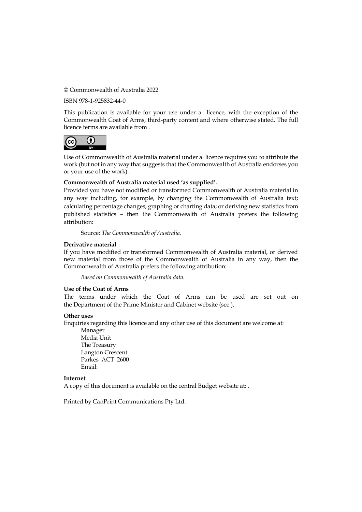© Commonwealth of Australia 2022

ISBN 978-1-925832-44-0

This publication is available for your use under a licence, with the exception of the Commonwealth Coat of Arms, third-party content and where otherwise stated. The full licence terms are available from .



Use of Commonwealth of Australia material under a licence requires you to attribute the work (but not in any way that suggests that the Commonwealth of Australia endorses you or your use of the work).

#### **Commonwealth of Australia material used 'as supplied'.**

Provided you have not modified or transformed Commonwealth of Australia material in any way including, for example, by changing the Commonwealth of Australia text; calculating percentage changes; graphing or charting data; or deriving new statistics from published statistics – then the Commonwealth of Australia prefers the following attribution:

Source: *The Commonwealth of Australia.*

#### **Derivative material**

If you have modified or transformed Commonwealth of Australia material, or derived new material from those of the Commonwealth of Australia in any way, then the Commonwealth of Australia prefers the following attribution:

*Based on Commonwealth of Australia data.*

#### **Use of the Coat of Arms**

The terms under which the Coat of Arms can be used are set out on the Department of the Prime Minister and Cabinet website (see ).

#### **Other uses**

Enquiries regarding this licence and any other use of this document are welcome at:

Manager Media Unit The Treasury Langton Crescent Parkes ACT 2600 Email:

#### **Internet**

A copy of this document is available on the central Budget website at: .

Printed by CanPrint Communications Pty Ltd.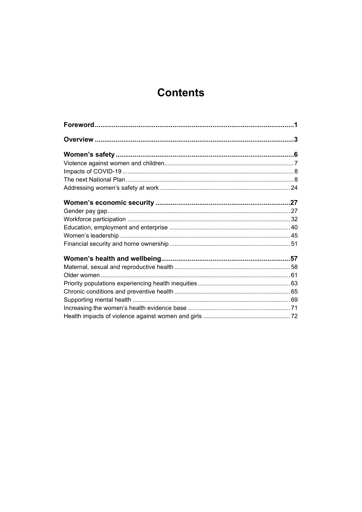# **Contents**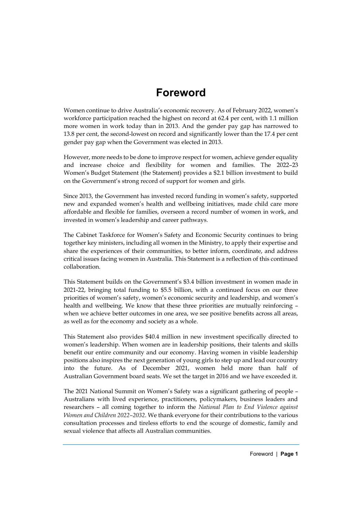# **Foreword**

<span id="page-3-0"></span>Women continue to drive Australia's economic recovery. As of February 2022, women's workforce participation reached the highest on record at 62.4 per cent, with 1.1 million more women in work today than in 2013. And the gender pay gap has narrowed to 13.8 per cent, the second-lowest on record and significantly lower than the 17.4 per cent gender pay gap when the Government was elected in 2013.

However, more needs to be done to improve respect for women, achieve gender equality and increase choice and flexibility for women and families. The 2022–23 Women's Budget Statement (the Statement) provides a \$2.1 billion investment to build on the Government's strong record of support for women and girls.

Since 2013, the Government has invested record funding in women's safety, supported new and expanded women's health and wellbeing initiatives, made child care more affordable and flexible for families, overseen a record number of women in work, and invested in women's leadership and career pathways.

The Cabinet Taskforce for Women's Safety and Economic Security continues to bring together key ministers, including all women in the Ministry, to apply their expertise and share the experiences of their communities, to better inform, coordinate, and address critical issues facing women in Australia. This Statement is a reflection of this continued collaboration.

This Statement builds on the Government's \$3.4 billion investment in women made in 2021-22, bringing total funding to \$5.5 billion, with a continued focus on our three priorities of women's safety, women's economic security and leadership, and women's health and wellbeing. We know that these three priorities are mutually reinforcing – when we achieve better outcomes in one area, we see positive benefits across all areas, as well as for the economy and society as a whole.

This Statement also provides \$40.4 million in new investment specifically directed to women's leadership. When women are in leadership positions, their talents and skills benefit our entire community and our economy. Having women in visible leadership positions also inspires the next generation of young girls to step up and lead our country into the future. As of December 2021, women held more than half of Australian Government board seats. We set the target in 2016 and we have exceeded it.

The 2021 National Summit on Women's Safety was a significant gathering of people – Australians with lived experience, practitioners, policymakers, business leaders and researchers – all coming together to inform the *National Plan to End Violence against Women and Children 2022–2032*. We thank everyone for their contributions to the various consultation processes and tireless efforts to end the scourge of domestic, family and sexual violence that affects all Australian communities.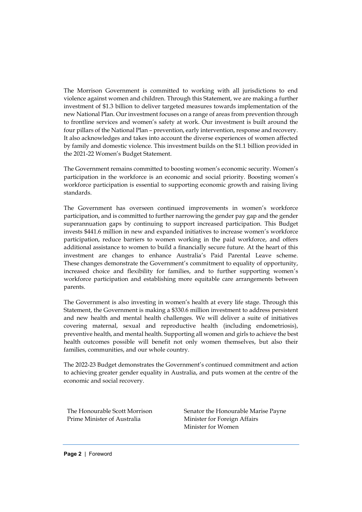The Morrison Government is committed to working with all jurisdictions to end violence against women and children. Through this Statement, we are making a further investment of \$1.3 billion to deliver targeted measures towards implementation of the new National Plan. Our investment focuses on a range of areas from prevention through to frontline services and women's safety at work. Our investment is built around the four pillars of the National Plan – prevention, early intervention, response and recovery. It also acknowledges and takes into account the diverse experiences of women affected by family and domestic violence. This investment builds on the \$1.1 billion provided in the 2021-22 Women's Budget Statement.

The Government remains committed to boosting women's economic security. Women's participation in the workforce is an economic and social priority. Boosting women's workforce participation is essential to supporting economic growth and raising living standards.

The Government has overseen continued improvements in women's workforce participation, and is committed to further narrowing the gender pay gap and the gender superannuation gaps by continuing to support increased participation. This Budget invests \$441.6 million in new and expanded initiatives to increase women's workforce participation, reduce barriers to women working in the paid workforce, and offers additional assistance to women to build a financially secure future. At the heart of this investment are changes to enhance Australia's Paid Parental Leave scheme. These changes demonstrate the Government's commitment to equality of opportunity, increased choice and flexibility for families, and to further supporting women's workforce participation and establishing more equitable care arrangements between parents.

The Government is also investing in women's health at every life stage. Through this Statement, the Government is making a \$330.6 million investment to address persistent and new health and mental health challenges. We will deliver a suite of initiatives covering maternal, sexual and reproductive health (including endometriosis), preventive health, and mental health. Supporting all women and girls to achieve the best health outcomes possible will benefit not only women themselves, but also their families, communities, and our whole country.

The 2022-23 Budget demonstrates the Government's continued commitment and action to achieving greater gender equality in Australia, and puts women at the centre of the economic and social recovery.

The Honourable Scott Morrison Prime Minister of Australia

Senator the Honourable Marise Payne Minister for Foreign Affairs Minister for Women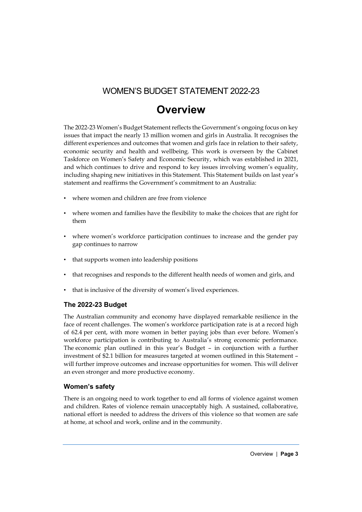### WOMEN'S BUDGET STATEMENT 2022-23

# **Overview**

<span id="page-5-0"></span>The 2022-23 Women's Budget Statement reflects the Government's ongoing focus on key issues that impact the nearly 13 million women and girls in Australia. It recognises the different experiences and outcomes that women and girls face in relation to their safety, economic security and health and wellbeing. This work is overseen by the Cabinet Taskforce on Women's Safety and Economic Security, which was established in 2021, and which continues to drive and respond to key issues involving women's equality, including shaping new initiatives in this Statement. This Statement builds on last year's statement and reaffirms the Government's commitment to an Australia:

- where women and children are free from violence
- where women and families have the flexibility to make the choices that are right for them
- where women's workforce participation continues to increase and the gender pay gap continues to narrow
- that supports women into leadership positions
- that recognises and responds to the different health needs of women and girls, and
- that is inclusive of the diversity of women's lived experiences.

#### **The 2022-23 Budget**

The Australian community and economy have displayed remarkable resilience in the face of recent challenges. The women's workforce participation rate is at a record high of 62.4 per cent, with more women in better paying jobs than ever before. Women's workforce participation is contributing to Australia's strong economic performance. The economic plan outlined in this year's Budget – in conjunction with a further investment of \$2.1 billion for measures targeted at women outlined in this Statement – will further improve outcomes and increase opportunities for women. This will deliver an even stronger and more productive economy.

#### **Women's safety**

There is an ongoing need to work together to end all forms of violence against women and children. Rates of violence remain unacceptably high. A sustained, collaborative, national effort is needed to address the drivers of this violence so that women are safe at home, at school and work, online and in the community.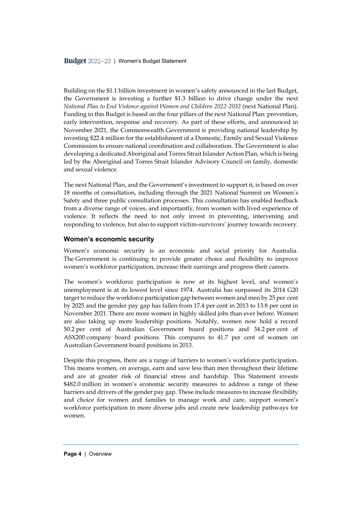Building on the \$1.1 billion investment in women's safety announced in the last Budget, the Government is investing a further \$1.3 billion to drive change under the next *National Plan to End Violence against Women and Children 2022-2032* (next National Plan). Funding in this Budget is based on the four pillars of the next National Plan: prevention, early intervention, response and recovery. As part of these efforts, and announced in November 2021, the Commonwealth Government is providing national leadership by investing \$22.4 million for the establishment of a Domestic, Family and Sexual Violence Commission to ensure national coordination and collaboration. The Government is also developing a dedicated Aboriginal and Torres Strait Islander Action Plan, which is being led by the Aboriginal and Torres Strait Islander Advisory Council on family, domestic and sexual violence.

The next National Plan, and the Government's investment to support it, is based on over 18 months of consultation, including through the 2021 National Summit on Women's Safety and three public consultation processes. This consultation has enabled feedback from a diverse range of voices, and importantly, from women with lived experience of violence. It reflects the need to not only invest in preventing, intervening and responding to violence, but also to support victim-survivors' journey towards recovery.

#### **Women's economic security**

Women's economic security is an economic and social priority for Australia. The Government is continuing to provide greater choice and flexibility to improve women's workforce participation, increase their earnings and progress their careers.

The women's workforce participation is now at its highest level, and women's unemployment is at its lowest level since 1974. Australia has surpassed its 2014 G20 target to reduce the workforce participation gap between women and men by 25 per cent by 2025 and the gender pay gap has fallen from 17.4 per cent in 2013 to 13.8 per cent in November 2021. There are more women in highly skilled jobs than ever before. Women are also taking up more leadership positions. Notably, women now hold a record 50.2 per cent of Australian Government board positions and 34.2 per cent of ASX200 company board positions. This compares to 41.7 per cent of women on Australian Government board positions in 2013.

Despite this progress, there are a range of barriers to women's workforce participation. This means women, on average, earn and save less than men throughout their lifetime and are at greater risk of financial stress and hardship. This Statement invests \$482.0 million in women's economic security measures to address a range of these barriers and drivers of the gender pay gap. These include measures to increase flexibility and choice for women and families to manage work and care, support women's workforce participation in more diverse jobs and create new leadership pathways for women.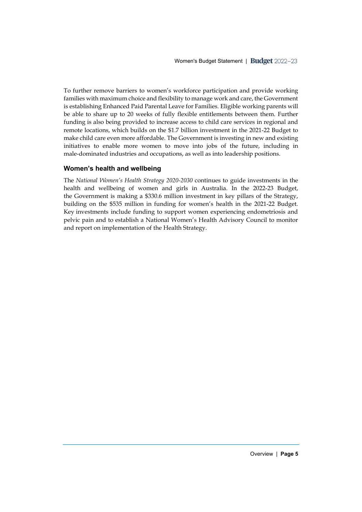To further remove barriers to women's workforce participation and provide working families with maximum choice and flexibility to manage work and care, the Government is establishing Enhanced Paid Parental Leave for Families. Eligible working parents will be able to share up to 20 weeks of fully flexible entitlements between them. Further funding is also being provided to increase access to child care services in regional and remote locations, which builds on the \$1.7 billion investment in the 2021-22 Budget to make child care even more affordable. The Government is investing in new and existing initiatives to enable more women to move into jobs of the future, including in male-dominated industries and occupations, as well as into leadership positions.

#### **Women's health and wellbeing**

The *National Women's Health Strategy 2020-2030* continues to guide investments in the health and wellbeing of women and girls in Australia. In the 2022-23 Budget, the Government is making a \$330.6 million investment in key pillars of the Strategy, building on the \$535 million in funding for women's health in the 2021-22 Budget. Key investments include funding to support women experiencing endometriosis and pelvic pain and to establish a National Women's Health Advisory Council to monitor and report on implementation of the Health Strategy.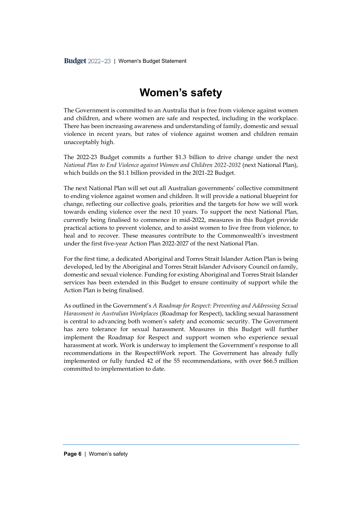# **Women's safety**

<span id="page-8-0"></span>The Government is committed to an Australia that is free from violence against women and children, and where women are safe and respected, including in the workplace. There has been increasing awareness and understanding of family, domestic and sexual violence in recent years, but rates of violence against women and children remain unacceptably high.

The 2022-23 Budget commits a further \$1.3 billion to drive change under the next *National Plan to End Violence against Women and Children 2022-2032* (next National Plan), which builds on the \$1.1 billion provided in the 2021-22 Budget.

The next National Plan will set out all Australian governments' collective commitment to ending violence against women and children. It will provide a national blueprint for change, reflecting our collective goals, priorities and the targets for how we will work towards ending violence over the next 10 years. To support the next National Plan, currently being finalised to commence in mid-2022, measures in this Budget provide practical actions to prevent violence, and to assist women to live free from violence, to heal and to recover. These measures contribute to the Commonwealth's investment under the first five-year Action Plan 2022-2027 of the next National Plan.

For the first time, a dedicated Aboriginal and Torres Strait Islander Action Plan is being developed, led by the Aboriginal and Torres Strait Islander Advisory Council on family, domestic and sexual violence. Funding for existing Aboriginal and Torres Strait Islander services has been extended in this Budget to ensure continuity of support while the Action Plan is being finalised.

As outlined in the Government's *A Roadmap for Respect: Preventing and Addressing Sexual Harassment in Australian Workplaces* (Roadmap for Respect), tackling sexual harassment is central to advancing both women's safety and economic security. The Government has zero tolerance for sexual harassment. Measures in this Budget will further implement the Roadmap for Respect and support women who experience sexual harassment at work. Work is underway to implement the Government's response to all recommendations in the Respect@Work report. The Government has already fully implemented or fully funded 42 of the 55 recommendations, with over \$66.5 million committed to implementation to date.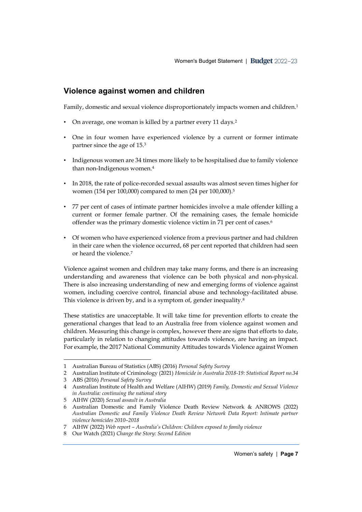#### <span id="page-9-0"></span>**Violence against women and children**

Family, domestic and sexual violence disproportionately impacts women and children.<sup>1</sup>

- On average, one woman is killed by a partner every 11 days.<sup>2</sup>
- One in four women have experienced violence by a current or former intimate partner since the age of 15.<sup>3</sup>
- Indigenous women are 34 times more likely to be hospitalised due to family violence than non-Indigenous women.<sup>4</sup>
- In 2018, the rate of police-recorded sexual assaults was almost seven times higher for women (154 per 100,000) compared to men (24 per 100,000).<sup>5</sup>
- 77 per cent of cases of intimate partner homicides involve a male offender killing a current or former female partner. Of the remaining cases, the female homicide offender was the primary domestic violence victim in 71 per cent of cases.<sup>6</sup>
- Of women who have experienced violence from a previous partner and had children in their care when the violence occurred, 68 per cent reported that children had seen or heard the violence.<sup>7</sup>

Violence against women and children may take many forms, and there is an increasing understanding and awareness that violence can be both physical and non-physical. There is also increasing understanding of new and emerging forms of violence against women, including coercive control, financial abuse and technology-facilitated abuse. This violence is driven by, and is a symptom of, gender inequality.<sup>8</sup>

These statistics are unacceptable. It will take time for prevention efforts to create the generational changes that lead to an Australia free from violence against women and children. Measuring this change is complex, however there are signs that efforts to date, particularly in relation to changing attitudes towards violence, are having an impact. For example, the 2017 National Community Attitudes towards Violence against Women

<sup>1</sup> Australian Bureau of Statistics (ABS) (2016) *Personal Safety Survey*

<sup>2</sup> Australian Institute of Criminology (2021) *Homicide in Australia 2018-19: Statistical Report no.34*

<sup>3</sup> ABS (2016) *Personal Safety Survey*

<sup>4</sup> Australian Institute of Health and Welfare (AIHW) (2019) *Family, Domestic and Sexual Violence in Australia: continuing the national story*

<sup>5</sup> AIHW (2020) *[Sexual assault in Australia](https://www.aihw.gov.au/getmedia/0375553f-0395-46cc-9574-d54c74fa601a/aihw-fdv-5.pdf.aspx?inline=true)* 

<sup>6</sup> Australian Domestic and Family Violence Death Review Network & ANROWS (2022) *[Australian Domestic and Family Violence Death Review Network Data Report: Intimate partner](https://20ian81kynqg38bl3l3eh8bf-wpengine.netdna-ssl.com/wp-content/uploads/2022/02/ADFVDRN-ANROWS-Data-Report-Update.pdf)  [violence homicides 2010](https://20ian81kynqg38bl3l3eh8bf-wpengine.netdna-ssl.com/wp-content/uploads/2022/02/ADFVDRN-ANROWS-Data-Report-Update.pdf)–2018*

<sup>7</sup> AIHW (2022) *Web report – Australia's Children: [Children exposed to family violence](https://www.aihw.gov.au/reports/children-youth/australias-children/contents/justice-and-safety/children-exposed-to-family-violence)*

<sup>8</sup> Our Watch (2021) *Change the Story: Second Edition*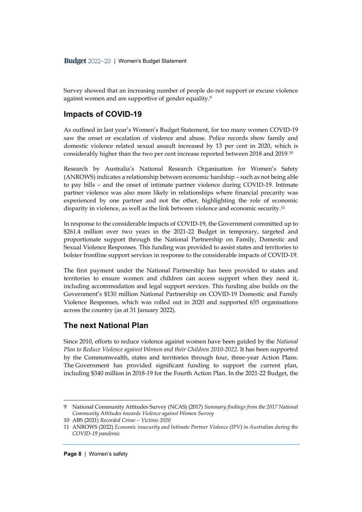Survey showed that an increasing number of people do not support or excuse violence against women and are supportive of gender equality. 9

#### <span id="page-10-0"></span>**Impacts of COVID-19**

As outlined in last year's Women's Budget Statement, for too many women COVID-19 saw the onset or escalation of violence and abuse. Police records show family and domestic violence related sexual assault increased by 13 per cent in 2020, which is considerably higher than the two per cent increase reported between 2018 and 2019.<sup>10</sup>

Research by Australia's National Research Organisation for Women's Safety (ANROWS) indicates a relationship between economic hardship – such as not being able to pay bills – and the onset of intimate partner violence during COVID-19. Intimate partner violence was also more likely in relationships where financial precarity was experienced by one partner and not the other, highlighting the role of economic disparity in violence, as well as the link between violence and economic security.<sup>11</sup>

In response to the considerable impacts of COVID-19, the Government committed up to \$261.4 million over two years in the 2021-22 Budget in temporary, targeted and proportionate support through the National Partnership on Family, Domestic and Sexual Violence Responses. This funding was provided to assist states and territories to bolster frontline support services in response to the considerable impacts of COVID-19.

The first payment under the National Partnership has been provided to states and territories to ensure women and children can access support when they need it, including accommodation and legal support services. This funding also builds on the Government's \$130 million National Partnership on COVID-19 Domestic and Family Violence Responses, which was rolled out in 2020 and supported 655 organisations across the country (as at 31 January 2022).

#### <span id="page-10-1"></span>**The next National Plan**

Since 2010, efforts to reduce violence against women have been guided by the *National Plan to Reduce Violence against Women and their Children 2010-2022.* It has been supported by the Commonwealth, states and territories through four, three-year Action Plans. The Government has provided significant funding to support the current plan, including \$340 million in 2018-19 for the Fourth Action Plan. In the 2021-22 Budget, the

<sup>9</sup> National Community Attitudes Survey (NCAS) (2017) *[Summary findings from the 2017 National](https://20ian81kynqg38bl3l3eh8bf-wpengine.netdna-ssl.com/wp-content/uploads/2019/12/300419_NCAS_Summary_Report.pdf)  [Community Attitudes towards Violence against Women Survey](https://20ian81kynqg38bl3l3eh8bf-wpengine.netdna-ssl.com/wp-content/uploads/2019/12/300419_NCAS_Summary_Report.pdf)*

<sup>10</sup> ABS (2021) *Recorded Crime – Victims 2020*

<sup>11</sup> ANROWS (2022) *Economic insecurity and Intimate Partner Violence (IPV) in Australian during the COVID-19 pandemic*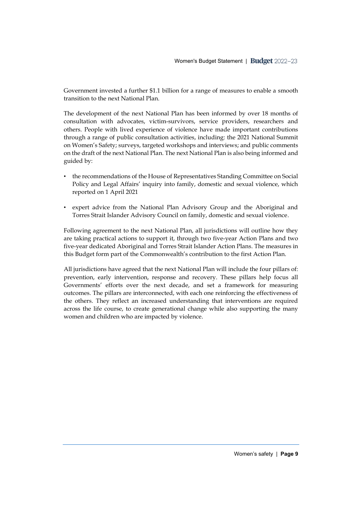Government invested a further \$1.1 billion for a range of measures to enable a smooth transition to the next National Plan.

The development of the next National Plan has been informed by over 18 months of consultation with advocates, victim-survivors, service providers, researchers and others. People with lived experience of violence have made important contributions through a range of public consultation activities, including: the 2021 National Summit on Women's Safety; surveys, targeted workshops and interviews; and public comments on the draft of the next National Plan. The next National Plan is also being informed and guided by:

- the recommendations of the House of Representatives Standing Committee on Social Policy and Legal Affairs' inquiry into family, domestic and sexual violence, which reported on 1 April 2021
- expert advice from the National Plan Advisory Group and the Aboriginal and Torres Strait Islander Advisory Council on family, domestic and sexual violence.

Following agreement to the next National Plan, all jurisdictions will outline how they are taking practical actions to support it, through two five-year Action Plans and two five-year dedicated Aboriginal and Torres Strait Islander Action Plans. The measures in this Budget form part of the Commonwealth's contribution to the first Action Plan.

All jurisdictions have agreed that the next National Plan will include the four pillars of: prevention, early intervention, response and recovery. These pillars help focus all Governments' efforts over the next decade, and set a framework for measuring outcomes. The pillars are interconnected, with each one reinforcing the effectiveness of the others. They reflect an increased understanding that interventions are required across the life course, to create generational change while also supporting the many women and children who are impacted by violence.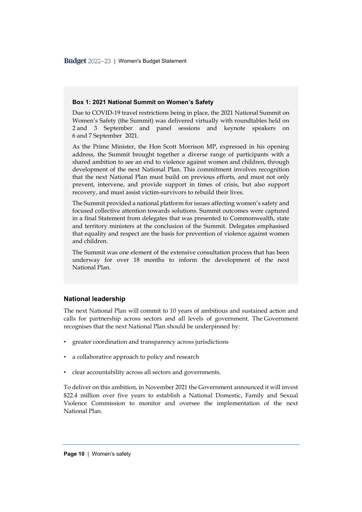Budget 2022-23 | Women's Budget Statement

#### **Box 1: 2021 National Summit on Women's Safety**

Due to COVID-19 travel restrictions being in place, the 2021 National Summit on Women's Safety (the Summit) was delivered virtually with roundtables held on 2 and 3 September and panel sessions and keynote speakers on 6 and 7 September 2021.

As the Prime Minister, the Hon Scott Morrison MP, expressed in his opening address, the Summit brought together a diverse range of participants with a shared ambition to see an end to violence against women and children, through development of the next National Plan. This commitment involves recognition that the next National Plan must build on previous efforts, and must not only prevent, intervene, and provide support in times of crisis, but also support recovery, and must assist victim-survivors to rebuild their lives.

The Summit provided a national platform for issues affecting women's safety and focused collective attention towards solutions. Summit outcomes were captured in a final Statement from delegates that was presented to Commonwealth, state and territory ministers at the conclusion of the Summit. Delegates emphasised that equality and respect are the basis for prevention of violence against women and children.

The Summit was one element of the extensive consultation process that has been underway for over 18 months to inform the development of the next National Plan.

#### **National leadership**

The next National Plan will commit to 10 years of ambitious and sustained action and calls for partnership across sectors and all levels of government. The Government recognises that the next National Plan should be underpinned by:

- greater coordination and transparency across jurisdictions
- a collaborative approach to policy and research
- clear accountability across all sectors and governments.

To deliver on this ambition, in November 2021 the Government announced it will invest \$22.4 million over five years to establish a National Domestic, Family and Sexual Violence Commission to monitor and oversee the implementation of the next National Plan.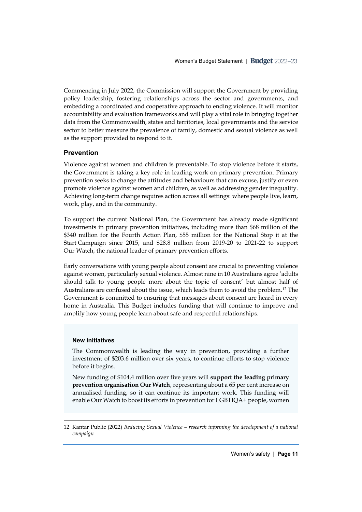Commencing in July 2022, the Commission will support the Government by providing policy leadership, fostering relationships across the sector and governments, and embedding a coordinated and cooperative approach to ending violence. It will monitor accountability and evaluation frameworks and will play a vital role in bringing together data from the Commonwealth, states and territories, local governments and the service sector to better measure the prevalence of family, domestic and sexual violence as well as the support provided to respond to it.

#### **Prevention**

Violence against women and children is preventable. To stop violence before it starts, the Government is taking a key role in leading work on primary prevention. Primary prevention seeks to change the attitudes and behaviours that can excuse, justify or even promote violence against women and children, as well as addressing gender inequality. Achieving long-term change requires action across all settings: where people live, learn, work, play, and in the community.

To support the current National Plan, the Government has already made significant investments in primary prevention initiatives, including more than \$68 million of the \$340 million for the Fourth Action Plan, \$55 million for the National Stop it at the Start Campaign since 2015, and \$28.8 million from 2019-20 to 2021-22 to support Our Watch, the national leader of primary prevention efforts.

Early conversations with young people about consent are crucial to preventing violence against women, particularly sexual violence. Almost nine in 10 Australians agree 'adults should talk to young people more about the topic of consent' but almost half of Australians are confused about the issue, which leads them to avoid the problem.<sup>12</sup> The Government is committed to ensuring that messages about consent are heard in every home in Australia. This Budget includes funding that will continue to improve and amplify how young people learn about safe and respectful relationships.

#### **New initiatives**

The Commonwealth is leading the way in prevention, providing a further investment of \$203.6 million over six years, to continue efforts to stop violence before it begins.

New funding of \$104.4 million over five years will **support the leading primary prevention organisation Our Watch**, representing about a 65 per cent increase on annualised funding, so it can continue its important work. This funding will enable Our Watch to boost its efforts in prevention for LGBTIQA+ people, women

<sup>12</sup> Kantar Public (2022) *Reducing Sexual Violence – research informing the development of a national campaign*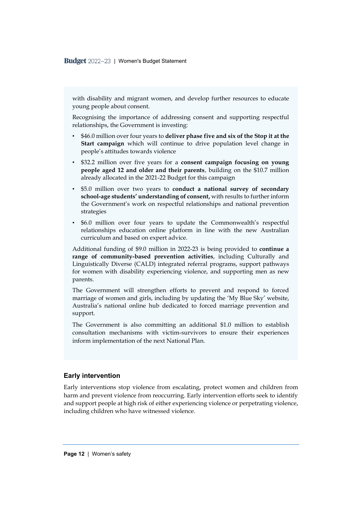Budget 2022-23 | Women's Budget Statement

with disability and migrant women, and develop further resources to educate young people about consent.

Recognising the importance of addressing consent and supporting respectful relationships, the Government is investing:

- \$46.0 million over four years to **deliver phase five and six of the Stop it at the Start campaign** which will continue to drive population level change in people's attitudes towards violence
- \$32.2 million over five years for a **consent campaign focusing on young people aged 12 and older and their parents**, building on the \$10.7 million already allocated in the 2021-22 Budget for this campaign
- \$5.0 million over two years to **conduct a national survey of secondary school-age students' understanding of consent,** with results to further inform the Government's work on respectful relationships and national prevention strategies
- \$6.0 million over four years to update the Commonwealth's respectful relationships education online platform in line with the new Australian curriculum and based on expert advice.

Additional funding of \$9.0 million in 2022-23 is being provided to **continue a range of community-based prevention activities**, including Culturally and Linguistically Diverse (CALD) integrated referral programs, support pathways for women with disability experiencing violence, and supporting men as new parents.

The Government will strengthen efforts to prevent and respond to forced marriage of women and girls, including by updating the 'My Blue Sky' website, Australia's national online hub dedicated to forced marriage prevention and support.

The Government is also committing an additional \$1.0 million to establish consultation mechanisms with victim-survivors to ensure their experiences inform implementation of the next National Plan.

#### **Early intervention**

Early interventions stop violence from escalating, protect women and children from harm and prevent violence from reoccurring. Early intervention efforts seek to identify and support people at high risk of either experiencing violence or perpetrating violence, including children who have witnessed violence.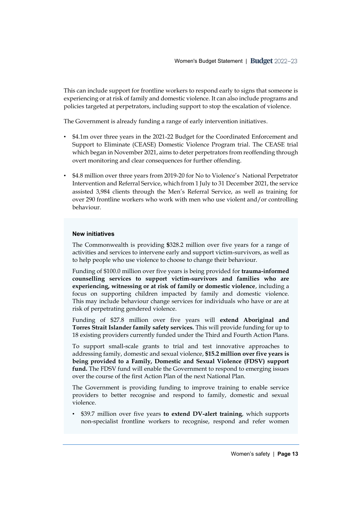This can include support for frontline workers to respond early to signs that someone is experiencing or at risk of family and domestic violence. It can also include programs and policies targeted at perpetrators, including support to stop the escalation of violence.

The Government is already funding a range of early intervention initiatives.

- \$4.1m over three years in the 2021-22 Budget for the Coordinated Enforcement and Support to Eliminate (CEASE) Domestic Violence Program trial. The CEASE trial which began in November 2021, aims to deter perpetrators from reoffending through overt monitoring and clear consequences for further offending.
- \$4.8 million over three years from 2019-20 for No to Violence's National Perpetrator Intervention and Referral Service, which from 1 July to 31 December 2021, the service assisted 3,984 clients through the Men's Referral Service, as well as training for over 290 frontline workers who work with men who use violent and/or controlling behaviour.

#### **New initiatives**

The Commonwealth is providing **\$**328.2 million over five years for a range of activities and services to intervene early and support victim-survivors, as well as to help people who use violence to choose to change their behaviour.

Funding of \$100.0 million over five years is being provided for **trauma-informed counselling services to support victim-survivors and families who are experiencing, witnessing or at risk of family or domestic violence**, including a focus on supporting children impacted by family and domestic violence. This may include behaviour change services for individuals who have or are at risk of perpetrating gendered violence.

Funding of \$27.8 million over five years will **extend Aboriginal and Torres Strait Islander family safety services.** This will provide funding for up to 18 existing providers currently funded under the Third and Fourth Action Plans.

To support small-scale grants to trial and test innovative approaches to addressing family, domestic and sexual violence, **\$15.2 million over five years is being provided to a Family, Domestic and Sexual Violence (FDSV) support fund.** The FDSV fund will enable the Government to respond to emerging issues over the course of the first Action Plan of the next National Plan.

The Government is providing funding to improve training to enable service providers to better recognise and respond to family, domestic and sexual violence.

• \$39.7 million over five years **to extend DV-alert training**, which supports non-specialist frontline workers to recognise, respond and refer women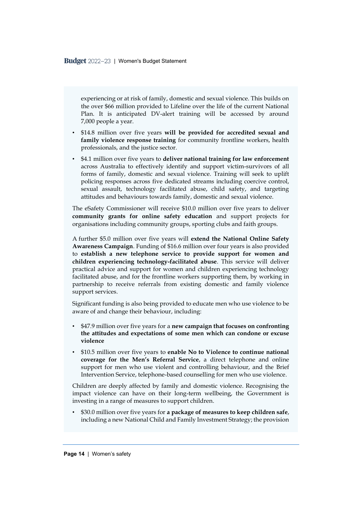experiencing or at risk of family, domestic and sexual violence. This builds on the over \$66 million provided to Lifeline over the life of the current National Plan. It is anticipated DV-alert training will be accessed by around 7,000 people a year.

- \$14.8 million over five years **will be provided for accredited sexual and family violence response training** for community frontline workers, health professionals, and the justice sector.
- \$4.1 million over five years to **deliver national training for law enforcement** across Australia to effectively identify and support victim-survivors of all forms of family, domestic and sexual violence. Training will seek to uplift policing responses across five dedicated streams including coercive control, sexual assault, technology facilitated abuse, child safety, and targeting attitudes and behaviours towards family, domestic and sexual violence.

The eSafety Commissioner will receive \$10.0 million over five years to deliver **community grants for online safety education** and support projects for organisations including community groups, sporting clubs and faith groups.

A further \$5.0 million over five years will **extend the National Online Safety Awareness Campaign**. Funding of \$16.6 million over four years is also provided to **establish a new telephone service to provide support for women and children experiencing technology-facilitated abuse**. This service will deliver practical advice and support for women and children experiencing technology facilitated abuse, and for the frontline workers supporting them, by working in partnership to receive referrals from existing domestic and family violence support services.

Significant funding is also being provided to educate men who use violence to be aware of and change their behaviour, including:

- \$47.9 million over five years for a **new campaign that focuses on confronting the attitudes and expectations of some men which can condone or excuse violence**
- \$10.5 million over five years to **enable No to Violence to continue national coverage for the Men's Referral Service**, a direct telephone and online support for men who use violent and controlling behaviour, and the Brief Intervention Service, telephone-based counselling for men who use violence.

Children are deeply affected by family and domestic violence. Recognising the impact violence can have on their long-term wellbeing, the Government is investing in a range of measures to support children.

• \$30.0 million over five years for **a package of measures to keep children safe**, including a new National Child and Family Investment Strategy; the provision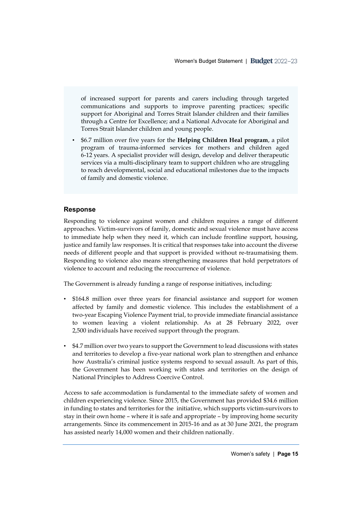of increased support for parents and carers including through targeted communications and supports to improve parenting practices; specific support for Aboriginal and Torres Strait Islander children and their families through a Centre for Excellence; and a National Advocate for Aboriginal and Torres Strait Islander children and young people.

• \$6.7 million over five years for the **Helping Children Heal program**, a pilot program of trauma-informed services for mothers and children aged 6-12 years. A specialist provider will design, develop and deliver therapeutic services via a multi-disciplinary team to support children who are struggling to reach developmental, social and educational milestones due to the impacts of family and domestic violence.

#### **Response**

Responding to violence against women and children requires a range of different approaches. Victim-survivors of family, domestic and sexual violence must have access to immediate help when they need it, which can include frontline support, housing, justice and family law responses. It is critical that responses take into account the diverse needs of different people and that support is provided without re-traumatising them. Responding to violence also means strengthening measures that hold perpetrators of violence to account and reducing the reoccurrence of violence.

The Government is already funding a range of response initiatives, including:

- \$164.8 million over three years for financial assistance and support for women affected by family and domestic violence. This includes the establishment of a two-year Escaping Violence Payment trial, to provide immediate financial assistance to women leaving a violent relationship. As at 28 February 2022, over 2,500 individuals have received support through the program.
- \$4.7 million over two years to support the Government to lead discussions with states and territories to develop a five-year national work plan to strengthen and enhance how Australia's criminal justice systems respond to sexual assault. As part of this, the Government has been working with states and territories on the design of National Principles to Address Coercive Control.

Access to safe accommodation is fundamental to the immediate safety of women and children experiencing violence. Since 2015, the Government has provided \$34.6 million in funding to states and territories for the initiative, which supports victim-survivors to stay in their own home – where it is safe and appropriate – by improving home security arrangements. Since its commencement in 2015-16 and as at 30 June 2021, the program has assisted nearly 14,000 women and their children nationally.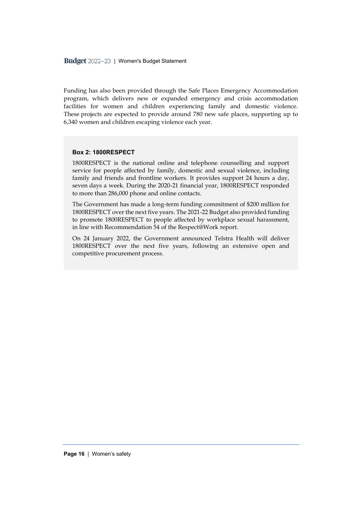Funding has also been provided through the Safe Places Emergency Accommodation program, which delivers new or expanded emergency and crisis accommodation facilities for women and children experiencing family and domestic violence. These projects are expected to provide around 780 new safe places, supporting up to 6,340 women and children escaping violence each year.

#### **Box 2: 1800RESPECT**

1800RESPECT is the national online and telephone counselling and support service for people affected by family, domestic and sexual violence, including family and friends and frontline workers. It provides support 24 hours a day, seven days a week. During the 2020-21 financial year, 1800RESPECT responded to more than 286,000 phone and online contacts.

The Government has made a long-term funding commitment of \$200 million for 1800RESPECT over the next five years. The 2021-22 Budget also provided funding to promote 1800RESPECT to people affected by workplace sexual harassment, in line with Recommendation 54 of the Respect@Work report.

On 24 January 2022, the Government announced Telstra Health will deliver 1800RESPECT over the next five years, following an extensive open and competitive procurement process.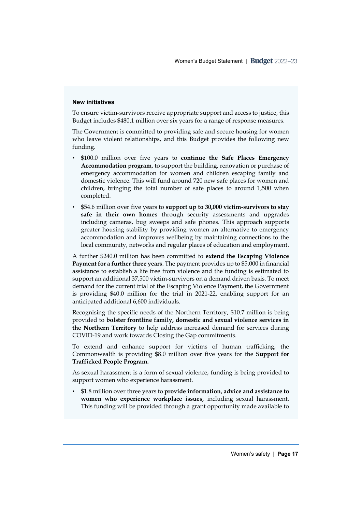#### **New initiatives**

To ensure victim-survivors receive appropriate support and access to justice, this Budget includes \$480.1 million over six years for a range of response measures.

The Government is committed to providing safe and secure housing for women who leave violent relationships, and this Budget provides the following new funding.

- \$100.0 million over five years to **continue the Safe Places Emergency Accommodation program**, to support the building, renovation or purchase of emergency accommodation for women and children escaping family and domestic violence. This will fund around 720 new safe places for women and children, bringing the total number of safe places to around 1,500 when completed.
- \$54.6 million over five years to **support up to 30,000 victim-survivors to stay safe in their own homes** through security assessments and upgrades including cameras, bug sweeps and safe phones. This approach supports greater housing stability by providing women an alternative to emergency accommodation and improves wellbeing by maintaining connections to the local community, networks and regular places of education and employment.

A further \$240.0 million has been committed to **extend the Escaping Violence Payment for a further three years**. The payment provides up to \$5,000 in financial assistance to establish a life free from violence and the funding is estimated to support an additional 37,500 victim-survivors on a demand driven basis. To meet demand for the current trial of the Escaping Violence Payment, the Government is providing \$40.0 million for the trial in 2021-22, enabling support for an anticipated additional 6,600 individuals.

Recognising the specific needs of the Northern Territory, \$10.7 million is being provided to **bolster frontline family, domestic and sexual violence services in the Northern Territory** to help address increased demand for services during COVID-19 and work towards Closing the Gap commitments.

To extend and enhance support for victims of human trafficking, the Commonwealth is providing \$8.0 million over five years for the **Support for Trafficked People Program.**

As sexual harassment is a form of sexual violence, funding is being provided to support women who experience harassment.

• \$1.8 million over three years to **provide information, advice and assistance to women who experience workplace issues,** including sexual harassment. This funding will be provided through a grant opportunity made available to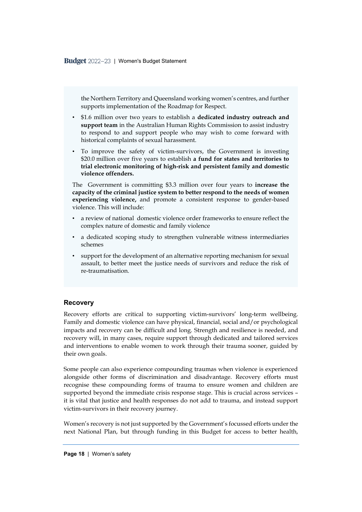the Northern Territory and Queensland working women's centres, and further supports implementation of the Roadmap for Respect.

- \$1.6 million over two years to establish a **dedicated industry outreach and support team** in the Australian Human Rights Commission to assist industry to respond to and support people who may wish to come forward with historical complaints of sexual harassment.
- To improve the safety of victim-survivors, the Government is investing \$20.0 million over five years to establish **a fund for states and territories to trial electronic monitoring of high-risk and persistent family and domestic violence offenders.**

The Government is committing \$3.3 million over four years to **increase the capacity of the criminal justice system to better respond to the needs of women experiencing violence,** and promote a consistent response to gender-based violence. This will include:

- a review of national domestic violence order frameworks to ensure reflect the complex nature of domestic and family violence
- a dedicated scoping study to strengthen vulnerable witness intermediaries schemes
- support for the development of an alternative reporting mechanism for sexual assault, to better meet the justice needs of survivors and reduce the risk of re-traumatisation.

#### **Recovery**

Recovery efforts are critical to supporting victim-survivors' long-term wellbeing. Family and domestic violence can have physical, financial, social and/or psychological impacts and recovery can be difficult and long. Strength and resilience is needed, and recovery will, in many cases, require support through dedicated and tailored services and interventions to enable women to work through their trauma sooner, guided by their own goals.

Some people can also experience compounding traumas when violence is experienced alongside other forms of discrimination and disadvantage. Recovery efforts must recognise these compounding forms of trauma to ensure women and children are supported beyond the immediate crisis response stage. This is crucial across services – it is vital that justice and health responses do not add to trauma, and instead support victim-survivors in their recovery journey.

Women's recovery is not just supported by the Government's focussed efforts under the next National Plan, but through funding in this Budget for access to better health,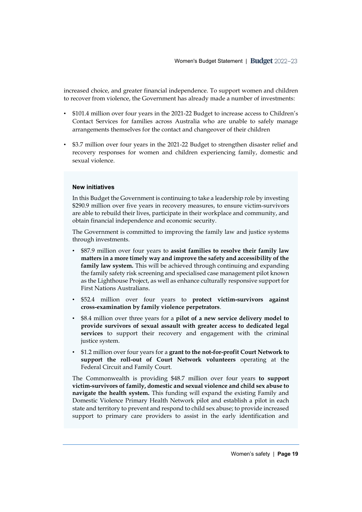increased choice, and greater financial independence. To support women and children to recover from violence, the Government has already made a number of investments:

- \$101.4 million over four years in the 2021-22 Budget to increase access to Children's Contact Services for families across Australia who are unable to safely manage arrangements themselves for the contact and changeover of their children
- \$3.7 million over four years in the 2021-22 Budget to strengthen disaster relief and recovery responses for women and children experiencing family, domestic and sexual violence.

#### **New initiatives**

In this Budget the Government is continuing to take a leadership role by investing \$290.9 million over five years in recovery measures, to ensure victim-survivors are able to rebuild their lives, participate in their workplace and community, and obtain financial independence and economic security.

The Government is committed to improving the family law and justice systems through investments.

- \$87.9 million over four years to **assist families to resolve their family law matters in a more timely way and improve the safety and accessibility of the family law system.** This will be achieved through continuing and expanding the family safety risk screening and specialised case management pilot known as the Lighthouse Project, as well as enhance culturally responsive support for First Nations Australians.
- \$52.4 million over four years to **protect victim-survivors against cross-examination by family violence perpetrators**.
- \$8.4 million over three years for a **pilot of a new service delivery model to provide survivors of sexual assault with greater access to dedicated legal services** to support their recovery and engagement with the criminal justice system.
- \$1.2 million over four years for a **grant to the not-for-profit Court Network to support the roll-out of Court Network volunteers** operating at the Federal Circuit and Family Court.

The Commonwealth is providing \$48.7 million over four years **to support victim-survivors of family, domestic and sexual violence and child sex abuse to navigate the health system.** This funding will expand the existing Family and Domestic Violence Primary Health Network pilot and establish a pilot in each state and territory to prevent and respond to child sex abuse; to provide increased support to primary care providers to assist in the early identification and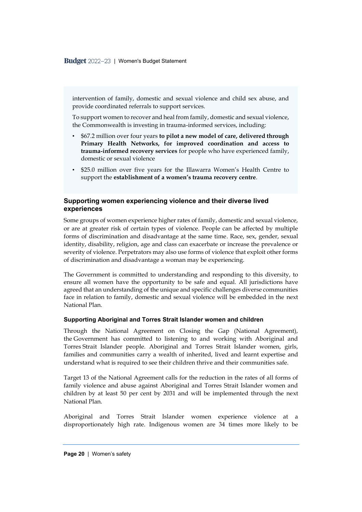intervention of family, domestic and sexual violence and child sex abuse, and provide coordinated referrals to support services.

To support women to recover and heal from family, domestic and sexual violence, the Commonwealth is investing in trauma-informed services, including:

- \$67.2 million over four years **to pilot a new model of care, delivered through Primary Health Networks, for improved coordination and access to trauma‑informed recovery services** for people who have experienced family, domestic or sexual violence
- \$25.0 million over five years for the Illawarra Women's Health Centre to support the **establishment of a women's trauma recovery centre**.

#### **Supporting women experiencing violence and their diverse lived experiences**

Some groups of women experience higher rates of family, domestic and sexual violence, or are at greater risk of certain types of violence. People can be affected by multiple forms of discrimination and disadvantage at the same time. Race, sex, gender, sexual identity, disability, religion, age and class can exacerbate or increase the prevalence or severity of violence. Perpetrators may also use forms of violence that exploit other forms of discrimination and disadvantage a woman may be experiencing.

The Government is committed to understanding and responding to this diversity, to ensure all women have the opportunity to be safe and equal. All jurisdictions have agreed that an understanding of the unique and specific challenges diverse communities face in relation to family, domestic and sexual violence will be embedded in the next National Plan.

#### **Supporting Aboriginal and Torres Strait Islander women and children**

Through the National Agreement on Closing the Gap (National Agreement), the Government has committed to listening to and working with Aboriginal and Torres Strait Islander people. Aboriginal and Torres Strait Islander women, girls, families and communities carry a wealth of inherited, lived and learnt expertise and understand what is required to see their children thrive and their communities safe.

Target 13 of the National Agreement calls for the reduction in the rates of all forms of family violence and abuse against Aboriginal and Torres Strait Islander women and children by at least 50 per cent by 2031 and will be implemented through the next National Plan.

Aboriginal and Torres Strait Islander women experience violence at a disproportionately high rate. Indigenous women are 34 times more likely to be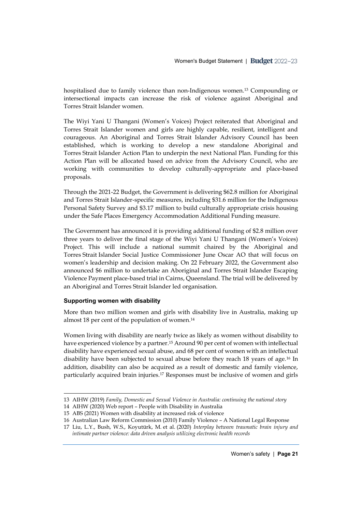hospitalised due to family violence than non-Indigenous women.<sup>13</sup> Compounding or intersectional impacts can increase the risk of violence against Aboriginal and Torres Strait Islander women.

The Wiyi Yani U Thangani (Women's Voices) Project reiterated that Aboriginal and Torres Strait Islander women and girls are highly capable, resilient, intelligent and courageous. An Aboriginal and Torres Strait Islander Advisory Council has been established, which is working to develop a new standalone Aboriginal and Torres Strait Islander Action Plan to underpin the next National Plan. Funding for this Action Plan will be allocated based on advice from the Advisory Council, who are working with communities to develop culturally-appropriate and place-based proposals.

Through the 2021-22 Budget, the Government is delivering \$62.8 million for Aboriginal and Torres Strait Islander-specific measures, including \$31.6 million for the Indigenous Personal Safety Survey and \$3.17 million to build culturally appropriate crisis housing under the Safe Places Emergency Accommodation Additional Funding measure.

The Government has announced it is providing additional funding of \$2.8 million over three years to deliver the final stage of the Wiyi Yani U Thangani (Women's Voices) Project. This will include a national summit chaired by the Aboriginal and Torres Strait Islander Social Justice Commissioner June Oscar AO that will focus on women's leadership and decision making. On 22 February 2022, the Government also announced \$6 million to undertake an Aboriginal and Torres Strait Islander Escaping Violence Payment place-based trial in Cairns, Queensland. The trial will be delivered by an Aboriginal and Torres Strait Islander led organisation.

#### **Supporting women with disability**

More than two million women and girls with disability live in Australia, making up almost 18 per cent of the population of women. 14

Women living with disability are nearly twice as likely as women without disability to have experienced violence by a partner. <sup>15</sup> Around 90 per cent of women with intellectual disability have experienced sexual abuse, and 68 per cent of women with an intellectual disability have been subjected to sexual abuse before they reach 18 years of age.<sup>16</sup> In addition, disability can also be acquired as a result of domestic and family violence, particularly acquired brain injuries.<sup>17</sup> Responses must be inclusive of women and girls

<sup>13</sup> AIHW (2019) *Family, Domestic and Sexual Violence in Australia: continuing the national story*

<sup>14</sup> AIHW (2020) Web report – People with Disability in Australia

<sup>15</sup> [ABS \(2021\)](https://www.abs.gov.au/media-centre/media-releases/women-disability-increased-risk-violence#:~:text=%E2%80%9CThe%20greatest%20disparity%20in%20risk,percent%20compared%20with%201.3%20percent).) Women with disability at increased risk of violence

<sup>16</sup> Australian Law Reform Commission (2010) Family Violence – A National Legal Response

<sup>17</sup> Liu, L.Y., Bush, W.S., Koyutürk, M. et al. (2020) *Interplay between traumatic brain injury and intimate partner violence: data driven analysis utilizing electronic health records*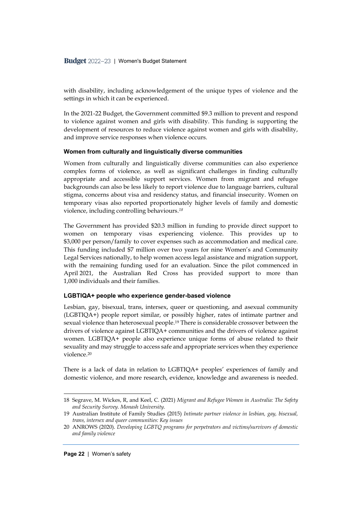with disability, including acknowledgement of the unique types of violence and the settings in which it can be experienced.

In the 2021-22 Budget, the Government committed \$9.3 million to prevent and respond to violence against women and girls with disability. This funding is supporting the development of resources to reduce violence against women and girls with disability, and improve service responses when violence occurs.

#### **Women from culturally and linguistically diverse communities**

Women from culturally and linguistically diverse communities can also experience complex forms of violence, as well as significant challenges in finding culturally appropriate and accessible support services. Women from migrant and refugee backgrounds can also be less likely to report violence due to language barriers, cultural stigma, concerns about visa and residency status, and financial insecurity. Women on temporary visas also reported proportionately higher levels of family and domestic violence, including controlling behaviours.*<sup>18</sup>*

The Government has provided \$20.3 million in funding to provide direct support to women on temporary visas experiencing violence. This provides up to \$3,000 per person/family to cover expenses such as accommodation and medical care. This funding included \$7 million over two years for nine Women's and Community Legal Services nationally, to help women access legal assistance and migration support, with the remaining funding used for an evaluation. Since the pilot commenced in April 2021, the Australian Red Cross has provided support to more than 1,000 individuals and their families.

#### **LGBTIQA+ people who experience gender-based violence**

Lesbian, gay, bisexual, trans, intersex, queer or questioning, and asexual community (LGBTIQA+) people report similar, or possibly higher, rates of intimate partner and sexual violence than heterosexual people. <sup>19</sup> There is considerable crossover between the drivers of violence against LGBTIQA+ communities and the drivers of violence against women. LGBTIQA+ people also experience unique forms of abuse related to their sexuality and may struggle to access safe and appropriate services when they experience violence.<sup>20</sup>

There is a lack of data in relation to LGBTIQA+ peoples' experiences of family and domestic violence, and more research, evidence, knowledge and awareness is needed.

<sup>18</sup> Segrave, M. Wickes, R, and Keel, C. (2021) *Migrant and Refugee Women in Australia: The Safety and Security Survey. Monash University.*

<sup>19</sup> Australian Institute of Family Studies (2015) *[Intimate partner violence in lesbian, gay, bisexual,](https://aifs.gov.au/cfca/publications/intimate-partner-violence-lgbtiq-communities)  trans, intersex [and queer communities: Key issues](https://aifs.gov.au/cfca/publications/intimate-partner-violence-lgbtiq-communities)* 

<sup>20</sup> ANROWS (2020). *Developing LGBTQ programs for perpetrators and victims/survivors of domestic and family violence*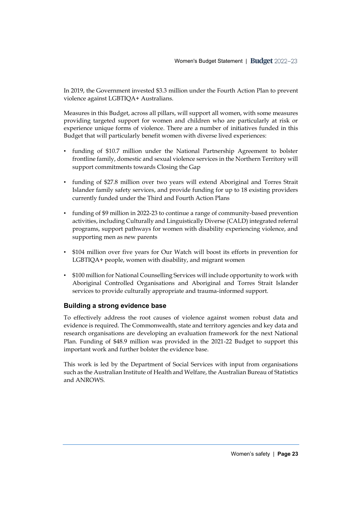In 2019, the Government invested \$3.3 million under the Fourth Action Plan to prevent violence against LGBTIQA+ Australians.

Measures in this Budget, across all pillars, will support all women, with some measures providing targeted support for women and children who are particularly at risk or experience unique forms of violence. There are a number of initiatives funded in this Budget that will particularly benefit women with diverse lived experiences:

- funding of \$10.7 million under the National Partnership Agreement to bolster frontline family, domestic and sexual violence services in the Northern Territory will support commitments towards Closing the Gap
- funding of \$27.8 million over two years will extend Aboriginal and Torres Strait Islander family safety services, and provide funding for up to 18 existing providers currently funded under the Third and Fourth Action Plans
- funding of \$9 million in 2022-23 to continue a range of community-based prevention activities, including Culturally and Linguistically Diverse (CALD) integrated referral programs, support pathways for women with disability experiencing violence, and supporting men as new parents
- \$104 million over five years for Our Watch will boost its efforts in prevention for LGBTIQA+ people, women with disability, and migrant women
- \$100 million for National Counselling Services will include opportunity to work with Aboriginal Controlled Organisations and Aboriginal and Torres Strait Islander services to provide culturally appropriate and trauma-informed support.

#### **Building a strong evidence base**

To effectively address the root causes of violence against women robust data and evidence is required. The Commonwealth, state and territory agencies and key data and research organisations are developing an evaluation framework for the next National Plan. Funding of \$48.9 million was provided in the 2021-22 Budget to support this important work and further bolster the evidence base.

This work is led by the Department of Social Services with input from organisations such as the Australian Institute of Health and Welfare, the Australian Bureau of Statistics and ANROWS.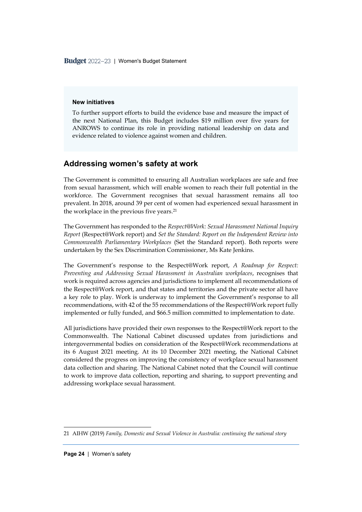Budget 2022-23 | Women's Budget Statement

#### **New initiatives**

To further support efforts to build the evidence base and measure the impact of the next National Plan, this Budget includes \$19 million over five years for ANROWS to continue its role in providing national leadership on data and evidence related to violence against women and children.

#### <span id="page-26-0"></span>**Addressing women's safety at work**

The Government is committed to ensuring all Australian workplaces are safe and free from sexual harassment, which will enable women to reach their full potential in the workforce. The Government recognises that sexual harassment remains all too prevalent. In 2018, around 39 per cent of women had experienced sexual harassment in the workplace in the previous five years. 21

The Government has responded to the *Respect@Work: Sexual Harassment National Inquiry Report* (Respect@Work report) and *Set the Standard: Report on the Independent Review into Commonwealth Parliamentary Workplaces* (Set the Standard report). Both reports were undertaken by the Sex Discrimination Commissioner, Ms Kate Jenkins.

The Government's response to the Respect@Work report, *A Roadmap for Respect: Preventing and Addressing Sexual Harassment in Australian workplaces*, recognises that work is required across agencies and jurisdictions to implement all recommendations of the Respect@Work report, and that states and territories and the private sector all have a key role to play. Work is underway to implement the Government's response to all recommendations, with 42 of the 55 recommendations of the Respect@Work report fully implemented or fully funded, and \$66.5 million committed to implementation to date.

All jurisdictions have provided their own responses to the Respect@Work report to the Commonwealth. The National Cabinet discussed updates from jurisdictions and intergovernmental bodies on consideration of the Respect@Work recommendations at its 6 August 2021 meeting. At its 10 December 2021 meeting, the National Cabinet considered the progress on improving the consistency of workplace sexual harassment data collection and sharing. The National Cabinet noted that the Council will continue to work to improve data collection, reporting and sharing, to support preventing and addressing workplace sexual harassment.

<sup>21</sup> AIHW (2019) *Family, Domestic and Sexual Violence in Australia: continuing the national story*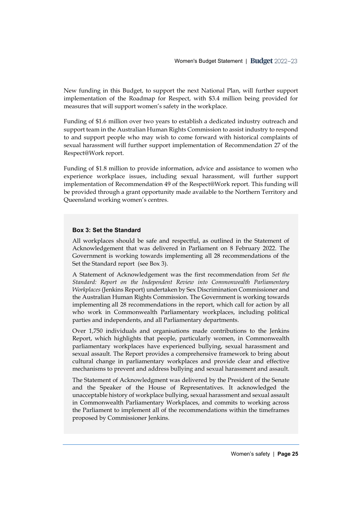New funding in this Budget, to support the next National Plan, will further support implementation of the Roadmap for Respect, with \$3.4 million being provided for measures that will support women's safety in the workplace.

Funding of \$1.6 million over two years to establish a dedicated industry outreach and support team in the Australian Human Rights Commission to assist industry to respond to and support people who may wish to come forward with historical complaints of sexual harassment will further support implementation of Recommendation 27 of the Respect@Work report.

Funding of \$1.8 million to provide information, advice and assistance to women who experience workplace issues, including sexual harassment, will further support implementation of Recommendation 49 of the Respect@Work report. This funding will be provided through a grant opportunity made available to the Northern Territory and Queensland working women's centres.

#### **Box 3: Set the Standard**

All workplaces should be safe and respectful, as outlined in the Statement of Acknowledgement that was delivered in Parliament on 8 February 2022. The Government is working towards implementing all 28 recommendations of the Set the Standard report (see Box 3).

A Statement of Acknowledgement was the first recommendation from *Set the Standard: Report on the Independent Review into Commonwealth Parliamentary Workplaces* (Jenkins Report) undertaken by Sex Discrimination Commissioner and the Australian Human Rights Commission. The Government is working towards implementing all 28 recommendations in the report, which call for action by all who work in Commonwealth Parliamentary workplaces, including political parties and independents, and all Parliamentary departments.

Over 1,750 individuals and organisations made contributions to the Jenkins Report, which highlights that people, particularly women, in Commonwealth parliamentary workplaces have experienced bullying, sexual harassment and sexual assault. The Report provides a comprehensive framework to bring about cultural change in parliamentary workplaces and provide clear and effective mechanisms to prevent and address bullying and sexual harassment and assault.

The Statement of Acknowledgment was delivered by the President of the Senate and the Speaker of the House of Representatives. It acknowledged the unacceptable history of workplace bullying, sexual harassment and sexual assault in Commonwealth Parliamentary Workplaces, and commits to working across the Parliament to implement all of the recommendations within the timeframes proposed by Commissioner Jenkins.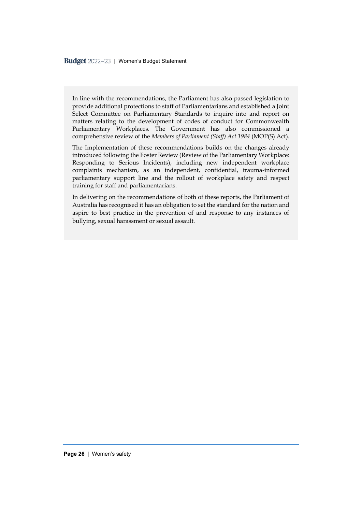In line with the recommendations, the Parliament has also passed legislation to provide additional protections to staff of Parliamentarians and established a Joint Select Committee on Parliamentary Standards to inquire into and report on matters relating to the development of codes of conduct for Commonwealth Parliamentary Workplaces. The Government has also commissioned a comprehensive review of the *Members of Parliament (Staff) Act 1984* (MOP(S) Act).

The Implementation of these recommendations builds on the changes already introduced following the Foster Review (Review of the Parliamentary Workplace: Responding to Serious Incidents), including new independent workplace complaints mechanism, as an independent, confidential, trauma-informed parliamentary support line and the rollout of workplace safety and respect training for staff and parliamentarians.

In delivering on the recommendations of both of these reports, the Parliament of Australia has recognised it has an obligation to set the standard for the nation and aspire to best practice in the prevention of and response to any instances of bullying, sexual harassment or sexual assault.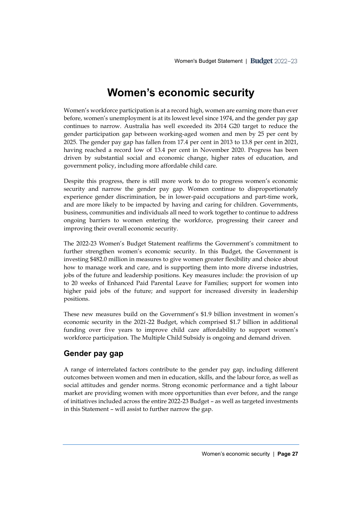## **Women's economic security**

<span id="page-29-0"></span>Women's workforce participation is at a record high, women are earning more than ever before, women's unemployment is at its lowest level since 1974, and the gender pay gap continues to narrow. Australia has well exceeded its 2014 G20 target to reduce the gender participation gap between working-aged women and men by 25 per cent by 2025. The gender pay gap has fallen from 17.4 per cent in 2013 to 13.8 per cent in 2021, having reached a record low of 13.4 per cent in November 2020. Progress has been driven by substantial social and economic change, higher rates of education, and government policy, including more affordable child care.

Despite this progress, there is still more work to do to progress women's economic security and narrow the gender pay gap. Women continue to disproportionately experience gender discrimination, be in lower-paid occupations and part-time work, and are more likely to be impacted by having and caring for children. Governments, business, communities and individuals all need to work together to continue to address ongoing barriers to women entering the workforce, progressing their career and improving their overall economic security.

The 2022-23 Women's Budget Statement reaffirms the Government's commitment to further strengthen women's economic security. In this Budget, the Government is investing \$482.0 million in measures to give women greater flexibility and choice about how to manage work and care, and is supporting them into more diverse industries, jobs of the future and leadership positions. Key measures include: the provision of up to 20 weeks of Enhanced Paid Parental Leave for Families; support for women into higher paid jobs of the future; and support for increased diversity in leadership positions.

These new measures build on the Government's \$1.9 billion investment in women's economic security in the 2021-22 Budget, which comprised \$1.7 billion in additional funding over five years to improve child care affordability to support women's workforce participation. The Multiple Child Subsidy is ongoing and demand driven.

#### <span id="page-29-1"></span>**Gender pay gap**

A range of interrelated factors contribute to the gender pay gap, including different outcomes between women and men in education, skills, and the labour force, as well as social attitudes and gender norms. Strong economic performance and a tight labour market are providing women with more opportunities than ever before, and the range of initiatives included across the entire 2022-23 Budget – as well as targeted investments in this Statement – will assist to further narrow the gap.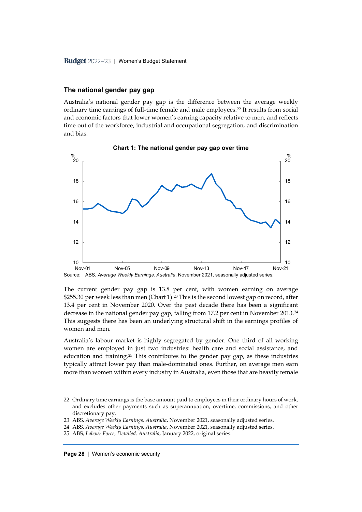#### **The national gender pay gap**

Australia's national gender pay gap is the difference between the average weekly ordinary time earnings of full-time female and male employees.<sup>22</sup> It results from social and economic factors that lower women's earning capacity relative to men, and reflects time out of the workforce, industrial and occupational segregation, and discrimination and bias.



**Chart 1: The national gender pay gap over time**

The current gender pay gap is 13.8 per cent, with women earning on average \$255.30 per week less than men (Chart 1).<sup>23</sup> This is the second lowest gap on record, after 13.4 per cent in November 2020. Over the past decade there has been a significant decrease in the national gender pay gap, falling from 17.2 per cent in November 2013.<sup>24</sup> This suggests there has been an underlying structural shift in the earnings profiles of women and men.

Australia's labour market is highly segregated by gender. One third of all working women are employed in just two industries: health care and social assistance, and education and training.<sup>25</sup> This contributes to the gender pay gap, as these industries typically attract lower pay than male-dominated ones. Further, on average men earn more than women within every industry in Australia, even those that are heavily female

24 ABS, *Average Weekly Earnings, Australia*, November 2021, seasonally adjusted series.

<sup>22</sup> Ordinary time earnings is the base amount paid to employees in their ordinary hours of work, and excludes other payments such as superannuation, overtime, commissions, and other discretionary pay.

<sup>23</sup> ABS, *Average Weekly Earnings, Australia*, November 2021, seasonally adjusted series.

<sup>25</sup> ABS, *Labour Force, Detailed, Australia*, January 2022, original series.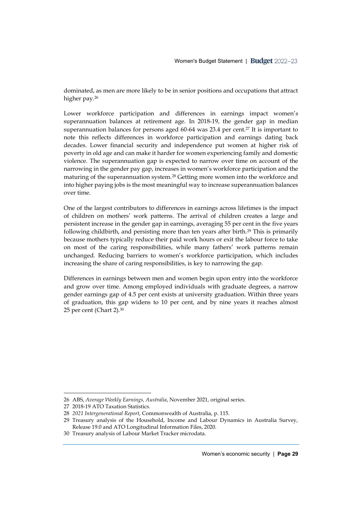dominated, as men are more likely to be in senior positions and occupations that attract higher pay.<sup>26</sup>

Lower workforce participation and differences in earnings impact women's superannuation balances at retirement age. In 2018-19, the gender gap in median superannuation balances for persons aged 60-64 was 23.4 per cent. <sup>27</sup> It is important to note this reflects differences in workforce participation and earnings dating back decades. Lower financial security and independence put women at higher risk of poverty in old age and can make it harder for women experiencing family and domestic violence. The superannuation gap is expected to narrow over time on account of the narrowing in the gender pay gap, increases in women's workforce participation and the maturing of the superannuation system.<sup>28</sup> Getting more women into the workforce and into higher paying jobs is the most meaningful way to increase superannuation balances over time.

One of the largest contributors to differences in earnings across lifetimes is the impact of children on mothers' work patterns. The arrival of children creates a large and persistent increase in the gender gap in earnings, averaging 55 per cent in the five years following childbirth, and persisting more than ten years after birth.<sup>29</sup> This is primarily because mothers typically reduce their paid work hours or exit the labour force to take on most of the caring responsibilities, while many fathers' work patterns remain unchanged. Reducing barriers to women's workforce participation, which includes increasing the share of caring responsibilities, is key to narrowing the gap.

Differences in earnings between men and women begin upon entry into the workforce and grow over time. Among employed individuals with graduate degrees, a narrow gender earnings gap of 4.5 per cent exists at university graduation. Within three years of graduation, this gap widens to 10 per cent, and by nine years it reaches almost 25 per cent (Chart 2). 30

<sup>26</sup> ABS, *Average Weekly Earnings, Australia*, November 2021, original series.

<sup>27</sup> 2018-19 ATO Taxation Statistics.

<sup>28</sup> *2021 Intergenerational Report*, Commonwealth of Australia, p. 115.

<sup>29</sup> Treasury analysis of the Household, Income and Labour Dynamics in Australia Survey, Release 19.0 and ATO Longitudinal Information Files, 2020.

<sup>30</sup> Treasury analysis of Labour Market Tracker microdata.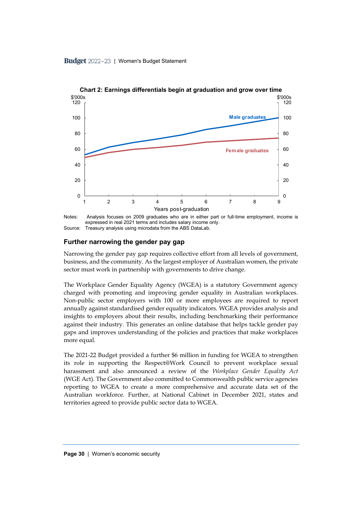

**Chart 2: Earnings differentials begin at graduation and grow over time**

#### **Further narrowing the gender pay gap**

Narrowing the gender pay gap requires collective effort from all levels of government, business, and the community. As the largest employer of Australian women, the private sector must work in partnership with governments to drive change.

The Workplace Gender Equality Agency (WGEA) is a statutory Government agency charged with promoting and improving gender equality in Australian workplaces. Non-public sector employers with 100 or more employees are required to report annually against standardised gender equality indicators. WGEA provides analysis and insights to employers about their results, including benchmarking their performance against their industry. This generates an online database that helps tackle gender pay gaps and improves understanding of the policies and practices that make workplaces more equal.

The 2021-22 Budget provided a further \$6 million in funding for WGEA to strengthen its role in supporting the Respect@Work Council to prevent workplace sexual harassment and also announced a review of the *Workplace Gender Equality Act*  (WGE Act). The Government also committed to Commonwealth public service agencies reporting to WGEA to create a more comprehensive and accurate data set of the Australian workforce. Further, at National Cabinet in December 2021, states and territories agreed to provide public sector data to WGEA.

Notes: Analysis focuses on 2009 graduates who are in either part or full-time employment, income is expressed in real 2021 terms and includes salary income only. Source: Treasury analysis using microdata from the ABS DataLab.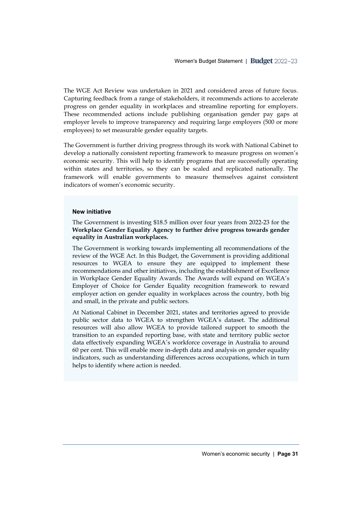The WGE Act Review was undertaken in 2021 and considered areas of future focus. Capturing feedback from a range of stakeholders, it recommends actions to accelerate progress on gender equality in workplaces and streamline reporting for employers. These recommended actions include publishing organisation gender pay gaps at employer levels to improve transparency and requiring large employers (500 or more employees) to set measurable gender equality targets.

The Government is further driving progress through its work with National Cabinet to develop a nationally consistent reporting framework to measure progress on women's economic security. This will help to identify programs that are successfully operating within states and territories, so they can be scaled and replicated nationally. The framework will enable governments to measure themselves against consistent indicators of women's economic security.

#### **New initiative**

The Government is investing \$18.5 million over four years from 2022-23 for the **Workplace Gender Equality Agency to further drive progress towards gender equality in Australian workplaces.**

The Government is working towards implementing all recommendations of the review of the WGE Act. In this Budget, the Government is providing additional resources to WGEA to ensure they are equipped to implement these recommendations and other initiatives, including the establishment of Excellence in Workplace Gender Equality Awards. The Awards will expand on WGEA's Employer of Choice for Gender Equality recognition framework to reward employer action on gender equality in workplaces across the country, both big and small, in the private and public sectors.

At National Cabinet in December 2021, states and territories agreed to provide public sector data to WGEA to strengthen WGEA's dataset. The additional resources will also allow WGEA to provide tailored support to smooth the transition to an expanded reporting base, with state and territory public sector data effectively expanding WGEA's workforce coverage in Australia to around 60 per cent. This will enable more in-depth data and analysis on gender equality indicators, such as understanding differences across occupations, which in turn helps to identify where action is needed.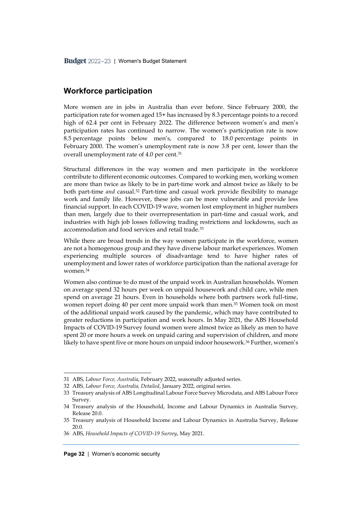#### <span id="page-34-0"></span>**Workforce participation**

More women are in jobs in Australia than ever before. Since February 2000, the participation rate for women aged 15+ has increased by 8.3 percentage points to a record high of 62.4 per cent in February 2022. The difference between women's and men's participation rates has continued to narrow. The women's participation rate is now 8.5 percentage points below men's, compared to 18.0 percentage points in February 2000. The women's unemployment rate is now 3.8 per cent, lower than the overall unemployment rate of 4.0 per cent.<sup>31</sup>

Structural differences in the way women and men participate in the workforce contribute to different economic outcomes. Compared to working men, working women are more than twice as likely to be in part-time work and almost twice as likely to be both part-time *and* casual.<sup>32</sup> Part-time and casual work provide flexibility to manage work and family life. However, these jobs can be more vulnerable and provide less financial support. In each COVID-19 wave, women lost employment in higher numbers than men, largely due to their overrepresentation in part-time and casual work, and industries with high job losses following trading restrictions and lockdowns, such as accommodation and food services and retail trade.<sup>33</sup>

While there are broad trends in the way women participate in the workforce, women are not a homogenous group and they have diverse labour market experiences. Women experiencing multiple sources of disadvantage tend to have higher rates of unemployment and lower rates of workforce participation than the national average for women.<sup>34</sup>

Women also continue to do most of the unpaid work in Australian households. Women on average spend 32 hours per week on unpaid housework and child care, while men spend on average 21 hours. Even in households where both partners work full-time, women report doing 40 per cent more unpaid work than men.<sup>35</sup> Women took on most of the additional unpaid work caused by the pandemic, which may have contributed to greater reductions in participation and work hours. In May 2021, the ABS Household Impacts of COVID-19 Survey found women were almost twice as likely as men to have spent 20 or more hours a week on unpaid caring and supervision of children, and more likely to have spent five or more hours on unpaid indoor housework.<sup>36</sup> Further, women's

<sup>31</sup> ABS, *Labour Force, Australia*, February 2022, seasonally adjusted series.

<sup>32</sup> ABS*, Labour Force, Australia, Detailed*, January 2022, original series.

<sup>33</sup> Treasury analysis of ABS Longitudinal Labour Force Survey Microdata, and ABS Labour Force Survey.

<sup>34</sup> Treasury analysis of the Household, Income and Labour Dynamics in Australia Survey, Release 20.0.

<sup>35</sup> Treasury analysis of Household Income and Labour Dynamics in Australia Survey, Release 20.0.

<sup>36</sup> ABS, *Household Impacts of COVID-19 Survey*, May 2021.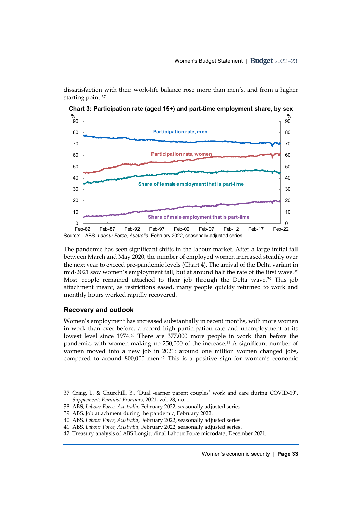dissatisfaction with their work-life balance rose more than men's, and from a higher starting point.<sup>37</sup>



**Chart 3: Participation rate (aged 15+) and part-time employment share, by sex**

Source: ABS, *Labour Force, Australia*, February 2022, seasonally adjusted series.

The pandemic has seen significant shifts in the labour market. After a large initial fall between March and May 2020, the number of employed women increased steadily over the next year to exceed pre-pandemic levels (Chart 4). The arrival of the Delta variant in mid-2021 saw women's employment fall, but at around half the rate of the first wave.<sup>38</sup> Most people remained attached to their job through the Delta wave. <sup>39</sup> This job attachment meant, as restrictions eased, many people quickly returned to work and monthly hours worked rapidly recovered.

#### **Recovery and outlook**

Women's employment has increased substantially in recent months, with more women in work than ever before, a record high participation rate and unemployment at its lowest level since 1974. <sup>40</sup> There are 377,000 more people in work than before the pandemic, with women making up 250,000 of the increase.<sup>41</sup> A significant number of women moved into a new job in 2021: around one million women changed jobs, compared to around 800,000 men.<sup>42</sup> This is a positive sign for women's economic

<sup>37</sup> Craig, L. & Churchill, B., 'Dual -earner parent couples' work and care during COVID-19', *Supplement: Feminist Frontiers*, 2021, vol. 28, no. 1.

<sup>38</sup> ABS, *Labour Force, Australia*, February 2022, seasonally adjusted series.

<sup>39</sup> ABS, Job attachment during the pandemic, February 2022.

<sup>40</sup> ABS, *Labour Force, Australia*, February 2022, seasonally adjusted series.

<sup>41</sup> ABS, *Labour Force, Australia,* February 2022, seasonally adjusted series.

<sup>42</sup> Treasury analysis of ABS Longitudinal Labour Force microdata, December 2021.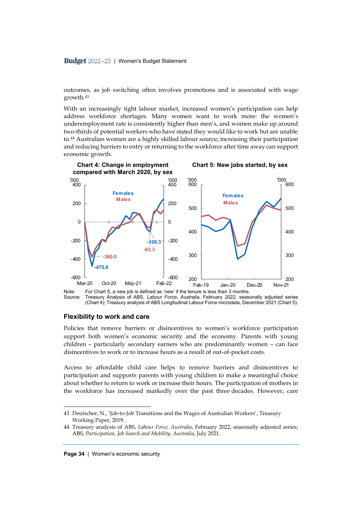outcomes, as job switching often involves promotions and is associated with wage growth.<sup>43</sup>

With an increasingly tight labour market, increased women's participation can help address workforce shortages. Many women want to work more: the women's underemployment rate is consistently higher than men's, and women make up around two-thirds of potential workers who have stated they would like to work but are unable to.<sup>44</sup> Australian women are a highly skilled labour source; increasing their participation and reducing barriers to entry or returning to the workforce after time away can support economic growth.



Note: For Chart 5, a new job is defined as 'new' if the tenure is less than 3 months.<br>Source: Treasury Analysis of ABS *Labour Force Australia* February 2022, seas Treasury Analysis of ABS, *Labour Force, Australia, February 2022, seasonally adjusted series* (Chart 4); Treasury analysis of ABS Longitudinal Labour Force microdata, December 2021 (Chart 5).

#### **Flexibility to work and care**

Policies that remove barriers or disincentives to women's workforce participation support both women's economic security and the economy. Parents with young children – particularly secondary earners who are predominantly women – can face disincentives to work or to increase hours as a result of out-of-pocket costs.

Access to affordable child care helps to remove barriers and disincentives to participation and supports parents with young children to make a meaningful choice about whether to return to work or increase their hours. The participation of mothers in the workforce has increased markedly over the past three decades. However, care

<sup>43</sup> Deutscher, N., 'Job-to-Job Transitions and the Wages of Australian Workers', Treasury Working Paper, 2019.

<sup>44</sup> Treasury analysis of ABS, *Labour Force, Australia*, February 2022, seasonally adjusted series; ABS, Participation, Job Search and Mobility, Australia, July 2021.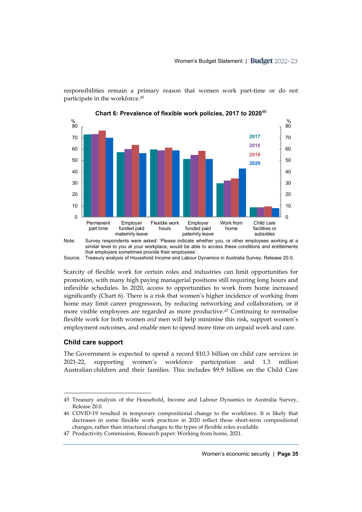responsibilities remain a primary reason that women work part-time or do not participate in the workforce. 45



**Chart 6: Prevalence of flexible work policies, 2017 to 2020**<sup>46</sup>

similar level to you at your workplace, would be able to access these conditions and entitlements that employers sometimes provide their employees'. Source: Treasury analysis of Household Income and Labour Dynamics in Australia Survey, Release 20.0.

Scarcity of flexible work for certain roles and industries can limit opportunities for promotion, with many high paying managerial positions still requiring long hours and inflexible schedules. In 2020, access to opportunities to work from home increased significantly (Chart 6). There is a risk that women's higher incidence of working from home may limit career progression, by reducing networking and collaboration, or if more visible employees are regarded as more productive. <sup>47</sup> Continuing to normalise flexible work for both women *and* men will help minimise this risk, support women's employment outcomes, and enable men to spend more time on unpaid work and care.

#### **Child care support**

The Government is expected to spend a record \$10.3 billion on child care services in 2021-22, supporting women's workforce participation and 1.3 million Australian children and their families. This includes \$9.9 billion on the Child Care

<sup>45</sup> Treasury analysis of the Household, Income and Labour Dynamics in Australia Survey, Release 20.0.

<sup>46</sup> COVID-19 resulted in temporary compositional change to the workforce. It is likely that decreases in some flexible work practices in 2020 reflect these short-term compositional changes, rather than structural changes to the types of flexible roles available.

<sup>47</sup> Productivity Commission, Research paper: Working from home, 2021.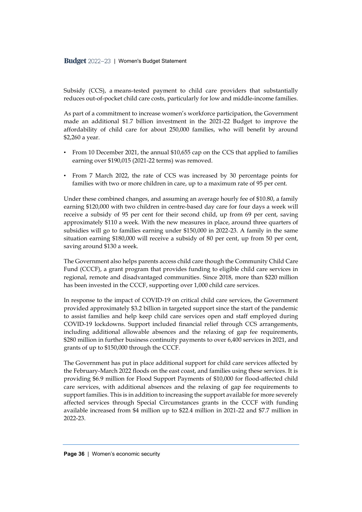Subsidy (CCS), a means-tested payment to child care providers that substantially reduces out-of-pocket child care costs, particularly for low and middle-income families.

As part of a commitment to increase women's workforce participation, the Government made an additional \$1.7 billion investment in the 2021-22 Budget to improve the affordability of child care for about 250,000 families, who will benefit by around \$2,260 a year.

- From 10 December 2021, the annual \$10,655 cap on the CCS that applied to families earning over \$190,015 (2021-22 terms) was removed.
- From 7 March 2022, the rate of CCS was increased by 30 percentage points for families with two or more children in care, up to a maximum rate of 95 per cent.

Under these combined changes, and assuming an average hourly fee of \$10.80, a family earning \$120,000 with two children in centre-based day care for four days a week will receive a subsidy of 95 per cent for their second child, up from 69 per cent, saving approximately \$110 a week. With the new measures in place, around three quarters of subsidies will go to families earning under \$150,000 in 2022-23. A family in the same situation earning \$180,000 will receive a subsidy of 80 per cent, up from 50 per cent, saving around \$130 a week.

The Government also helps parents access child care though the Community Child Care Fund (CCCF), a grant program that provides funding to eligible child care services in regional, remote and disadvantaged communities. Since 2018, more than \$220 million has been invested in the CCCF, supporting over 1,000 child care services.

In response to the impact of COVID-19 on critical child care services, the Government provided approximately \$3.2 billion in targeted support since the start of the pandemic to assist families and help keep child care services open and staff employed during COVID-19 lockdowns. Support included financial relief through CCS arrangements, including additional allowable absences and the relaxing of gap fee requirements, \$280 million in further business continuity payments to over 6,400 services in 2021, and grants of up to \$150,000 through the CCCF.

The Government has put in place additional support for child care services affected by the February-March 2022 floods on the east coast, and families using these services. It is providing \$6.9 million for Flood Support Payments of \$10,000 for flood-affected child care services, with additional absences and the relaxing of gap fee requirements to support families. This is in addition to increasing the support available for more severely affected services through Special Circumstances grants in the CCCF with funding available increased from \$4 million up to \$22.4 million in 2021-22 and \$7.7 million in 2022-23.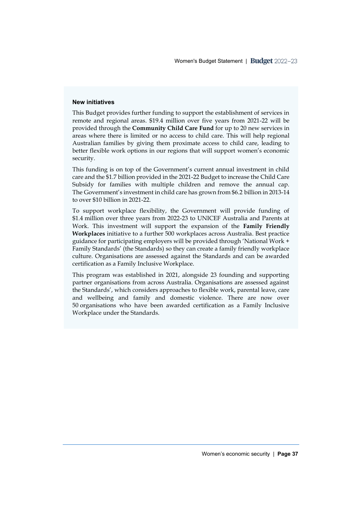#### **New initiatives**

This Budget provides further funding to support the establishment of services in remote and regional areas. \$19.4 million over five years from 2021-22 will be provided through the **Community Child Care Fund** for up to 20 new services in areas where there is limited or no access to child care. This will help regional Australian families by giving them proximate access to child care, leading to better flexible work options in our regions that will support women's economic security.

This funding is on top of the Government's current annual investment in child care and the \$1.7 billion provided in the 2021-22 Budget to increase the Child Care Subsidy for families with multiple children and remove the annual cap. The Government's investment in child care has grown from \$6.2 billion in 2013-14 to over \$10 billion in 2021-22.

To support workplace flexibility, the Government will provide funding of \$1.4 million over three years from 2022-23 to UNICEF Australia and Parents at Work. This investment will support the expansion of the **Family Friendly Workplaces** initiative to a further 500 workplaces across Australia. Best practice guidance for participating employers will be provided through 'National Work + Family Standards' (the Standards) so they can create a family friendly workplace culture. Organisations are assessed against the Standards and can be awarded certification as a Family Inclusive Workplace.

This program was established in 2021, alongside 23 founding and supporting partner organisations from across Australia. Organisations are assessed against the Standards', which considers approaches to flexible work, parental leave, care and wellbeing and family and domestic violence. There are now over 50 organisations who have been awarded certification as a Family Inclusive Workplace under the Standards.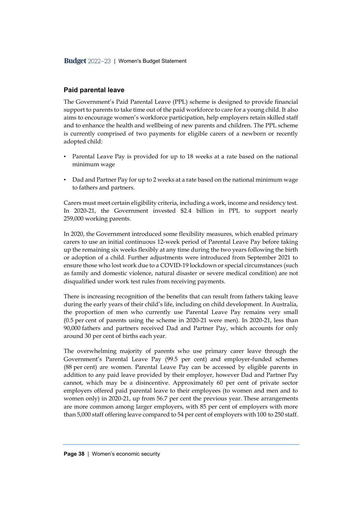# **Paid parental leave**

The Government's Paid Parental Leave (PPL) scheme is designed to provide financial support to parents to take time out of the paid workforce to care for a young child. It also aims to encourage women's workforce participation, help employers retain skilled staff and to enhance the health and wellbeing of new parents and children. The PPL scheme is currently comprised of two payments for eligible carers of a newborn or recently adopted child:

- Parental Leave Pay is provided for up to 18 weeks at a rate based on the national minimum wage
- Dad and Partner Pay for up to 2 weeks at a rate based on the national minimum wage to fathers and partners.

Carers must meet certain eligibility criteria, including a work, income and residency test. In 2020-21, the Government invested \$2.4 billion in PPL to support nearly 259,000 working parents.

In 2020, the Government introduced some flexibility measures, which enabled primary carers to use an initial continuous 12-week period of Parental Leave Pay before taking up the remaining six weeks flexibly at any time during the two years following the birth or adoption of a child. Further adjustments were introduced from September 2021 to ensure those who lost work due to a COVID-19 lockdown or special circumstances (such as family and domestic violence, natural disaster or severe medical condition) are not disqualified under work test rules from receiving payments.

There is increasing recognition of the benefits that can result from fathers taking leave during the early years of their child's life, including on child development. In Australia, the proportion of men who currently use Parental Leave Pay remains very small (0.5 per cent of parents using the scheme in 2020-21 were men). In 2020-21, less than 90,000 fathers and partners received Dad and Partner Pay, which accounts for only around 30 per cent of births each year.

The overwhelming majority of parents who use primary carer leave through the Government's Parental Leave Pay (99.5 per cent) and employer-funded schemes (88 per cent) are women. Parental Leave Pay can be accessed by eligible parents in addition to any paid leave provided by their employer, however Dad and Partner Pay cannot, which may be a disincentive. Approximately 60 per cent of private sector employers offered paid parental leave to their employees (to women and men and to women only) in 2020-21, up from 56.7 per cent the previous year. These arrangements are more common among larger employers, with 85 per cent of employers with more than 5,000 staff offering leave compared to 54 per cent of employers with 100 to 250 staff.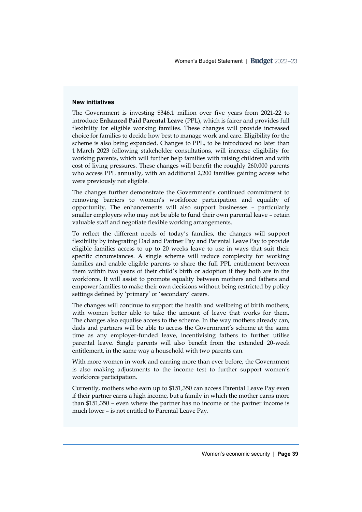#### **New initiatives**

The Government is investing \$346.1 million over five years from 2021-22 to introduce **Enhanced Paid Parental Leave** (PPL), which is fairer and provides full flexibility for eligible working families. These changes will provide increased choice for families to decide how best to manage work and care. Eligibility for the scheme is also being expanded. Changes to PPL, to be introduced no later than 1 March 2023 following stakeholder consultations, will increase eligibility for working parents, which will further help families with raising children and with cost of living pressures. These changes will benefit the roughly 260,000 parents who access PPL annually, with an additional 2,200 families gaining access who were previously not eligible.

The changes further demonstrate the Government's continued commitment to removing barriers to women's workforce participation and equality of opportunity. The enhancements will also support businesses – particularly smaller employers who may not be able to fund their own parental leave – retain valuable staff and negotiate flexible working arrangements.

To reflect the different needs of today's families, the changes will support flexibility by integrating Dad and Partner Pay and Parental Leave Pay to provide eligible families access to up to 20 weeks leave to use in ways that suit their specific circumstances. A single scheme will reduce complexity for working families and enable eligible parents to share the full PPL entitlement between them within two years of their child's birth or adoption if they both are in the workforce. It will assist to promote equality between mothers and fathers and empower families to make their own decisions without being restricted by policy settings defined by 'primary' or 'secondary' carers.

The changes will continue to support the health and wellbeing of birth mothers, with women better able to take the amount of leave that works for them. The changes also equalise access to the scheme. In the way mothers already can, dads and partners will be able to access the Government's scheme at the same time as any employer-funded leave, incentivising fathers to further utilise parental leave. Single parents will also benefit from the extended 20-week entitlement, in the same way a household with two parents can.

With more women in work and earning more than ever before, the Government is also making adjustments to the income test to further support women's workforce participation.

Currently, mothers who earn up to \$151,350 can access Parental Leave Pay even if their partner earns a high income, but a family in which the mother earns more than \$151,350 – even where the partner has no income or the partner income is much lower – is not entitled to Parental Leave Pay.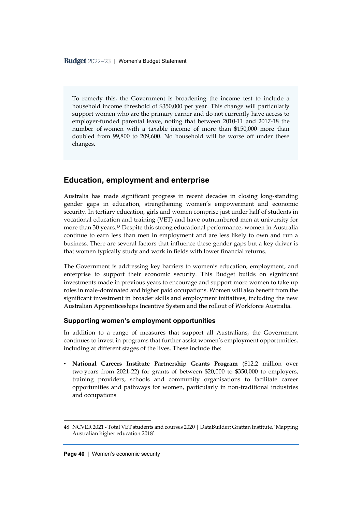To remedy this, the Government is broadening the income test to include a household income threshold of \$350,000 per year. This change will particularly support women who are the primary earner and do not currently have access to employer-funded parental leave, noting that between 2010-11 and 2017-18 the number of women with a taxable income of more than \$150,000 more than doubled from 99,800 to 209,600. No household will be worse off under these changes.

# **Education, employment and enterprise**

Australia has made significant progress in recent decades in closing long-standing gender gaps in education, strengthening women's empowerment and economic security. In tertiary education, girls and women comprise just under half of students in vocational education and training (VET) and have outnumbered men at university for more than 30 years.<sup>48</sup> Despite this strong educational performance, women in Australia continue to earn less than men in employment and are less likely to own and run a business. There are several factors that influence these gender gaps but a key driver is that women typically study and work in fields with lower financial returns.

The Government is addressing key barriers to women's education, employment, and enterprise to support their economic security. This Budget builds on significant investments made in previous years to encourage and support more women to take up roles in male-dominated and higher paid occupations. Women will also benefit from the significant investment in broader skills and employment initiatives, including the new Australian Apprenticeships Incentive System and the rollout of Workforce Australia.

### **Supporting women's employment opportunities**

In addition to a range of measures that support all Australians, the Government continues to invest in programs that further assist women's employment opportunities, including at different stages of the lives. These include the:

• **National Careers Institute Partnership Grants Program** (\$12.2 million over two years from 2021-22) for grants of between \$20,000 to \$350,000 to employers, training providers, schools and community organisations to facilitate career opportunities and pathways for women, particularly in non-traditional industries and occupations

<sup>48</sup> NCVER 2021 - Total VET students and courses 2020 | DataBuilder; Grattan Institute, 'Mapping Australian higher education 2018'.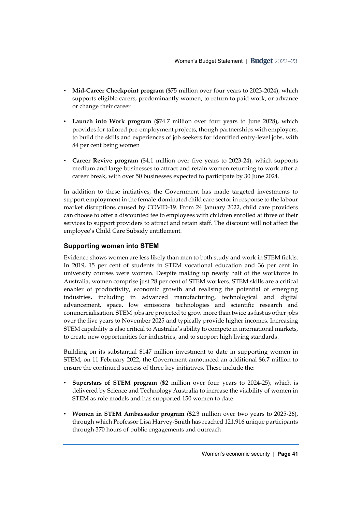- **Mid-Career Checkpoint program** (\$75 million over four years to 2023-2024), which supports eligible carers, predominantly women, to return to paid work, or advance or change their career
- **Launch into Work program** (\$74.7 million over four years to June 2028)**,** which provides for tailored pre-employment projects, though partnerships with employers, to build the skills and experiences of job seekers for identified entry-level jobs, with 84 per cent being women
- **Career Revive program** (\$4.1 million over five years to 2023-24), which supports medium and large businesses to attract and retain women returning to work after a career break, with over 50 businesses expected to participate by 30 June 2024.

In addition to these initiatives, the Government has made targeted investments to support employment in the female-dominated child care sector in response to the labour market disruptions caused by COVID-19. From 24 January 2022, child care providers can choose to offer a discounted fee to employees with children enrolled at three of their services to support providers to attract and retain staff. The discount will not affect the employee's Child Care Subsidy entitlement.

# **Supporting women into STEM**

Evidence shows women are less likely than men to both study and work in STEM fields. In 2019, 15 per cent of students in STEM vocational education and 36 per cent in university courses were women. Despite making up nearly half of the workforce in Australia, women comprise just 28 per cent of STEM workers. STEM skills are a critical enabler of productivity, economic growth and realising the potential of emerging industries, including in advanced manufacturing, technological and digital advancement, space, low emissions technologies and scientific research and commercialisation. STEM jobs are projected to grow more than twice as fast as other jobs over the five years to November 2025 and typically provide higher incomes. Increasing STEM capability is also critical to Australia's ability to compete in international markets, to create new opportunities for industries, and to support high living standards.

Building on its substantial \$147 million investment to date in supporting women in STEM, on 11 February 2022, the Government announced an additional \$6.7 million to ensure the continued success of three key initiatives. These include the:

- **Superstars of STEM program** (\$2 million over four years to 2024-25), which is delivered by Science and Technology Australia to increase the visibility of women in STEM as role models and has supported 150 women to date
- **Women in STEM Ambassador program** (\$2.3 million over two years to 2025-26), through which Professor Lisa Harvey-Smith has reached 121,916 unique participants through 370 hours of public engagements and outreach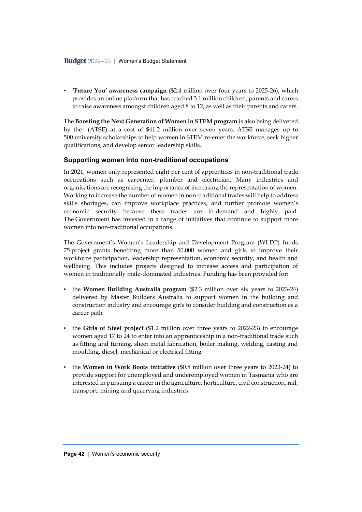• **'Future You' awareness campaign** (\$2.4 million over four years to 2025-26), which provides an online platform that has reached 3.1 million children, parents and carers to raise awareness amongst children aged 8 to 12, as well as their parents and carers.

The **Boosting the Next Generation of Women in STEM program** is also being delivered by the (ATSE) at a cost of \$41.2 million over seven years. ATSE manages up to 500 university scholarships to help women in STEM re-enter the workforce, seek higher qualifications, and develop senior leadership skills.

### **Supporting women into non-traditional occupations**

In 2021, women only represented eight per cent of apprentices in non-traditional trade occupations such as carpenter, plumber and electrician. Many industries and organisations are recognising the importance of increasing the representation of women. Working to increase the number of women in non-traditional trades will help to address skills shortages, can improve workplace practices, and further promote women's economic security because these trades are in-demand and highly paid. The Government has invested in a range of initiatives that continue to support more women into non-traditional occupations.

The Government's Women's Leadership and Development Program (WLDP) funds 75 project grants benefiting more than 50,000 women and girls to improve their workforce participation, leadership representation, economic security, and health and wellbeing. This includes projects designed to increase access and participation of women in traditionally male-dominated industries. Funding has been provided for:

- the **Women Building Australia program** (\$2.3 million over six years to 2023-24) delivered by Master Builders Australia to support women in the building and construction industry and encourage girls to consider building and construction as a career path
- the **Girls of Steel project** (\$1.2 million over three years to 2022-23) to encourage women aged 17 to 24 to enter into an apprenticeship in a non-traditional trade such as fitting and turning, sheet metal fabrication, boiler making, welding, casting and moulding, diesel, mechanical or electrical fitting
- the **Women in Work Boots initiative** (\$0.8 million over three years to 2023-24) to provide support for unemployed and underemployed women in Tasmania who are interested in pursuing a career in the agriculture, horticulture, civil construction, rail, transport, mining and quarrying industries.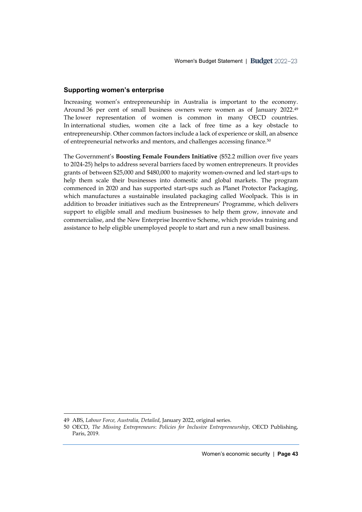### **Supporting women's enterprise**

Increasing women's entrepreneurship in Australia is important to the economy. Around 36 per cent of small business owners were women as of January 2022. 49 The lower representation of women is common in many OECD countries. In international studies, women cite a lack of free time as a key obstacle to entrepreneurship. Other common factors include a lack of experience or skill, an absence of entrepreneurial networks and mentors, and challenges accessing finance.<sup>50</sup>

The Government's **Boosting Female Founders Initiative** (\$52.2 million over five years to 2024-25) helps to address several barriers faced by women entrepreneurs. It provides grants of between \$25,000 and \$480,000 to majority women-owned and led start-ups to help them scale their businesses into domestic and global markets. The program commenced in 2020 and has supported start-ups such as Planet Protector Packaging, which manufactures a sustainable insulated packaging called Woolpack. This is in addition to broader initiatives such as the Entrepreneurs' Programme, which delivers support to eligible small and medium businesses to help them grow, innovate and commercialise, and the New Enterprise Incentive Scheme, which provides training and assistance to help eligible unemployed people to start and run a new small business.

<sup>49</sup> ABS, *Labour Force, Australia, Detailed*, January 2022, original series.

<sup>50</sup> OECD, *The Missing Entrepreneurs*: *Policies for Inclusive Entrepreneurship*, OECD Publishing, Paris, 2019.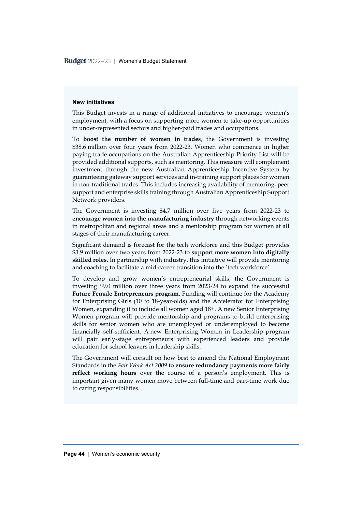#### **New initiatives**

This Budget invests in a range of additional initiatives to encourage women's employment, with a focus on supporting more women to take-up opportunities in under-represented sectors and higher-paid trades and occupations.

To **boost the number of women in trades**, the Government is investing \$38.6 million over four years from 2022-23. Women who commence in higher paying trade occupations on the Australian Apprenticeship Priority List will be provided additional supports, such as mentoring. This measure will complement investment through the new Australian Apprenticeship Incentive System by guaranteeing gateway support services and in-training support places for women in non-traditional trades. This includes increasing availability of mentoring, peer support and enterprise skills training through Australian Apprenticeship Support Network providers.

The Government is investing \$4.7 million over five years from 2022-23 to **encourage women into the manufacturing industry** through networking events in metropolitan and regional areas and a mentorship program for women at all stages of their manufacturing career.

Significant demand is forecast for the tech workforce and this Budget provides \$3.9 million over two years from 2022-23 to **support more women into digitally skilled roles**. In partnership with industry, this initiative will provide mentoring and coaching to facilitate a mid-career transition into the 'tech workforce'.

To develop and grow women's entrepreneurial skills, the Government is investing \$9.0 million over three years from 2023-24 to expand the successful **Future Female Entrepreneurs program**. Funding will continue for the Academy for Enterprising Girls (10 to 18-year-olds) and the Accelerator for Enterprising Women, expanding it to include all women aged 18+. A new Senior Enterprising Women program will provide mentorship and programs to build enterprising skills for senior women who are unemployed or underemployed to become financially self-sufficient. A new Enterprising Women in Leadership program will pair early-stage entrepreneurs with experienced leaders and provide education for school leavers in leadership skills.

The Government will consult on how best to amend the National Employment Standards in the *Fair Work Act 2009* to **ensure redundancy payments more fairly reflect working hours** over the course of a person's employment. This is important given many women move between full-time and part-time work due to caring responsibilities.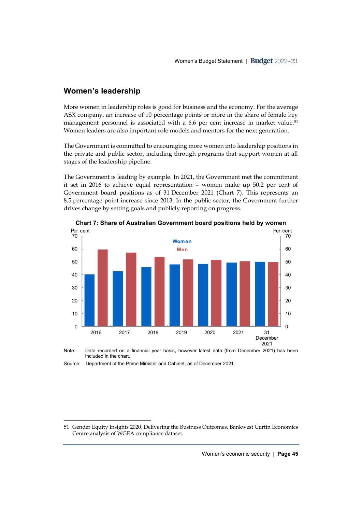# **Women's leadership**

More women in leadership roles is good for business and the economy. For the average ASX company, an increase of 10 percentage points or more in the share of female key management personnel is associated with a 6.6 per cent increase in market value.<sup>51</sup> Women leaders are also important role models and mentors for the next generation.

The Government is committed to encouraging more women into leadership positions in the private and public sector, including through programs that support women at all stages of the leadership pipeline.

The Government is leading by example. In 2021, the Government met the commitment it set in 2016 to achieve equal representation – women make up 50.2 per cent of Government board positions as of 31 December 2021 (Chart 7). This represents an 8.5 percentage point increase since 2013. In the public sector, the Government further drives change by setting goals and publicly reporting on progress.



**Chart 7: Share of Australian Government board positions held by women** 

Note: Data recorded on a financial year basis, however latest data (from December 2021) has been included in the chart.

Source: Department of the Prime Minister and Cabinet, as of December 2021.

<sup>51</sup> Gender Equity Insights 2020, Delivering the Business Outcomes, Bankwest Curtin Economics Centre analysis of WGEA compliance dataset.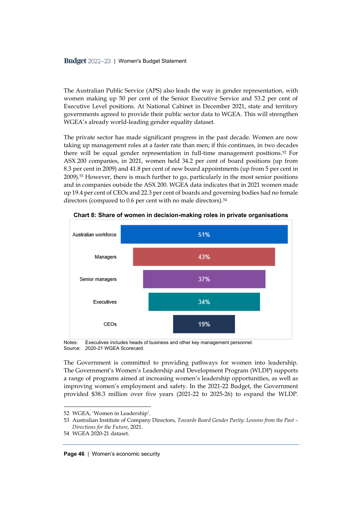The Australian Public Service (APS) also leads the way in gender representation, with women making up 50 per cent of the Senior Executive Service and 53.2 per cent of Executive Level positions. At National Cabinet in December 2021, state and territory governments agreed to provide their public sector data to WGEA. This will strengthen WGEA's already world-leading gender equality dataset.

The private sector has made significant progress in the past decade. Women are now taking up management roles at a faster rate than men; if this continues, in two decades there will be equal gender representation in full-time management positions.<sup>52</sup> For ASX 200 companies, in 2021, women held 34.2 per cent of board positions (up from 8.3 per cent in 2009) and 41.8 per cent of new board appointments (up from 5 per cent in 2009).<sup>53</sup> However, there is much further to go, particularly in the most senior positions and in companies outside the ASX 200. WGEA data indicates that in 2021 women made up 19.4 per cent of CEOs and 22.3 per cent of boards and governing bodies had no female directors (compared to 0.6 per cent with no male directors).<sup>54</sup>



**Chart 8: Share of women in decision-making roles in private organisations** 

Notes: Executives includes heads of business and other key management personnel. Source: 2020-21 WGEA Scorecard.

The Government is committed to providing pathways for women into leadership. The Government's Women's Leadership and Development Program (WLDP) supports a range of programs aimed at increasing women's leadership opportunities, as well as improving women's employment and safety. In the 2021-22 Budget, the Government provided \$38.3 million over five years (2021-22 to 2025-26) to expand the WLDP.

<sup>52</sup> WGEA, 'Women in Leadership'.

<sup>53</sup> Australian Institute of Company Directors, *Towards Board Gender Parity: Lessons from the Past – Directions for the Future*, 2021.

<sup>54</sup> WGEA 2020-21 dataset.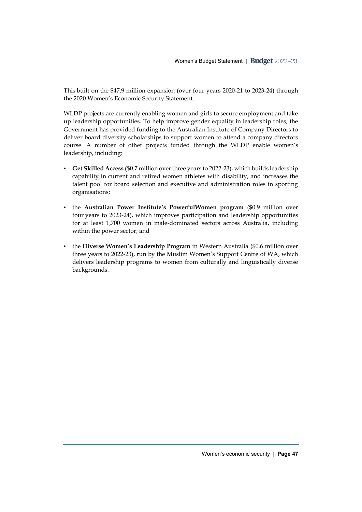This built on the \$47.9 million expansion (over four years 2020-21 to 2023-24) through the 2020 Women's Economic Security Statement.

WLDP projects are currently enabling women and girls to secure employment and take up leadership opportunities. To help improve gender equality in leadership roles, the Government has provided funding to the Australian Institute of Company Directors to deliver board diversity scholarships to support women to attend a company directors course. A number of other projects funded through the WLDP enable women's leadership, including:

- **Get Skilled Access** (\$0.7 million over three years to 2022-23), which builds leadership capability in current and retired women athletes with disability, and increases the talent pool for board selection and executive and administration roles in sporting organisations;
- the **Australian Power Institute's PowerfulWomen program** (\$0.9 million over four years to 2023-24), which improves participation and leadership opportunities for at least 1,700 women in male-dominated sectors across Australia, including within the power sector; and
- the **Diverse Women's Leadership Program** in Western Australia (\$0.6 million over three years to 2022-23), run by the Muslim Women's Support Centre of WA, which delivers leadership programs to women from culturally and linguistically diverse backgrounds.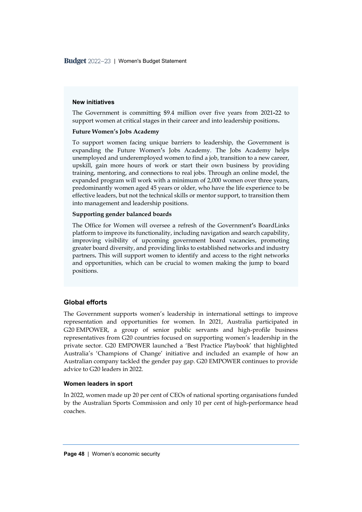#### **New initiatives**

The Government is committing \$9.4 million over five years from 2021**-**22 to support women at critical stages in their career and into leadership positions**.** 

#### **Future Women's Jobs Academy**

To support women facing unique barriers to leadership, the Government is expanding the Future Women**'**s Jobs Academy. The Jobs Academy helps unemployed and underemployed women to find a job, transition to a new career, upskill, gain more hours of work or start their own business by providing training, mentoring, and connections to real jobs. Through an online model, the expanded program will work with a minimum of 2,000 women over three years, predominantly women aged 45 years or older, who have the life experience to be effective leaders, but not the technical skills or mentor support, to transition them into management and leadership positions.

#### **Supporting gender balanced boards**

The Office for Women will oversee a refresh of the Government**'**s BoardLinks platform to improve its functionality, including navigation and search capability, improving visibility of upcoming government board vacancies, promoting greater board diversity, and providing links to established networks and industry partners**.** This will support women to identify and access to the right networks and opportunities, which can be crucial to women making the jump to board positions.

### **Global efforts**

The Government supports women's leadership in international settings to improve representation and opportunities for women. In 2021, Australia participated in G20 EMPOWER, a group of senior public servants and high-profile business representatives from G20 countries focused on supporting women's leadership in the private sector. G20 EMPOWER launched a 'Best Practice Playbook' that highlighted Australia's 'Champions of Change' initiative and included an example of how an Australian company tackled the gender pay gap. G20 EMPOWER continues to provide advice to G20 leaders in 2022.

#### **Women leaders in sport**

In 2022, women made up 20 per cent of CEOs of national sporting organisations funded by the Australian Sports Commission and only 10 per cent of high-performance head coaches.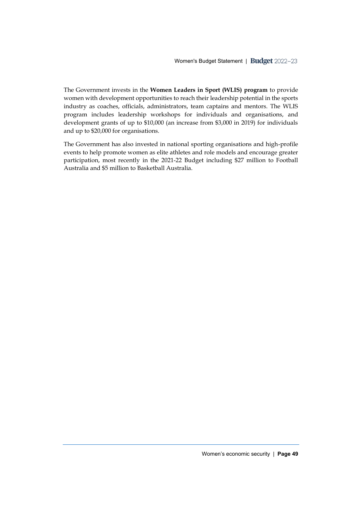The Government invests in the **Women Leaders in Sport (WLIS) program** to provide women with development opportunities to reach their leadership potential in the sports industry as coaches, officials, administrators, team captains and mentors. The WLIS program includes leadership workshops for individuals and organisations, and development grants of up to \$10,000 (an increase from \$3,000 in 2019) for individuals and up to \$20,000 for organisations.

The Government has also invested in national sporting organisations and high-profile events to help promote women as elite athletes and role models and encourage greater participation, most recently in the 2021-22 Budget including \$27 million to Football Australia and \$5 million to Basketball Australia.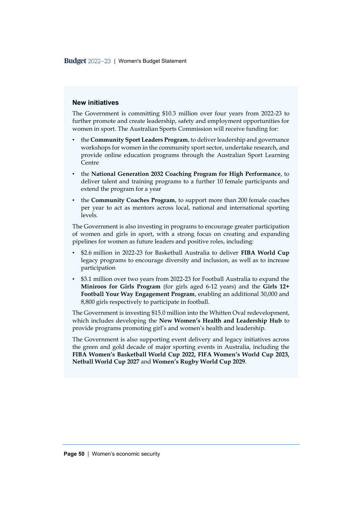#### **New initiatives**

The Government is committing \$10.3 million over four years from 2022-23 to further promote and create leadership, safety and employment opportunities for women in sport. The Australian Sports Commission will receive funding for:

- the **Community Sport Leaders Program**, to deliver leadership and governance workshops for women in the community sport sector, undertake research, and provide online education programs through the Australian Sport Learning Centre
- the **National Generation 2032 Coaching Program for High Performance**, to deliver talent and training programs to a further 10 female participants and extend the program for a year
- the **Community Coaches Program**, to support more than 200 female coaches per year to act as mentors across local, national and international sporting levels.

The Government is also investing in programs to encourage greater participation of women and girls in sport, with a strong focus on creating and expanding pipelines for women as future leaders and positive roles, including:

- \$2.6 million in 2022-23 for Basketball Australia to deliver **FIBA World Cup** legacy programs to encourage diversity and inclusion, as well as to increase participation
- \$3.1 million over two years from 2022-23 for Football Australia to expand the **Miniroos for Girls Program** (for girls aged 6-12 years) and the **Girls 12+ Football Your Way Engagement Program**, enabling an additional 30,000 and 8,800 girls respectively to participate in football.

The Government is investing \$15.0 million into the Whitten Oval redevelopment, which includes developing the **New Women's Health and Leadership Hub** to provide programs promoting girl's and women's health and leadership.

The Government is also supporting event delivery and legacy initiatives across the green and gold decade of major sporting events in Australia, including the **FIBA Women's Basketball World Cup 2022, FIFA Women's World Cup 2023, Netball World Cup 2027** and **Women's Rugby World Cup 2029**.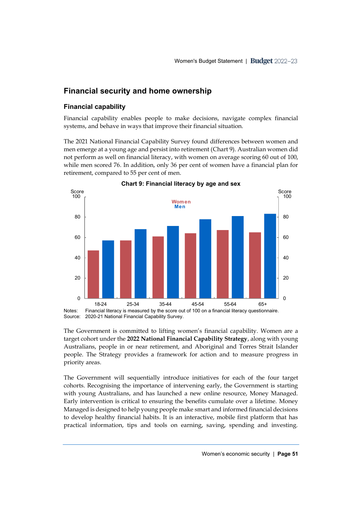# **Financial security and home ownership**

# **Financial capability**

Financial capability enables people to make decisions, navigate complex financial systems, and behave in ways that improve their financial situation.

The 2021 National Financial Capability Survey found differences between women and men emerge at a young age and persist into retirement (Chart 9). Australian women did not perform as well on financial literacy, with women on average scoring 60 out of 100, while men scored 76. In addition, only 36 per cent of women have a financial plan for retirement, compared to 55 per cent of men.



Source: 2020-21 National Financial Capability Survey.

The Government is committed to lifting women's financial capability. Women are a target cohort under the **2022 National Financial Capability Strategy**, along with young Australians, people in or near retirement, and Aboriginal and Torres Strait Islander people. The Strategy provides a framework for action and to measure progress in priority areas.

The Government will sequentially introduce initiatives for each of the four target cohorts. Recognising the importance of intervening early, the Government is starting with young Australians, and has launched a new online resource, Money Managed. Early intervention is critical to ensuring the benefits cumulate over a lifetime. Money Managed is designed to help young people make smart and informed financial decisions to develop healthy financial habits. It is an interactive, mobile first platform that has practical information, tips and tools on earning, saving, spending and investing.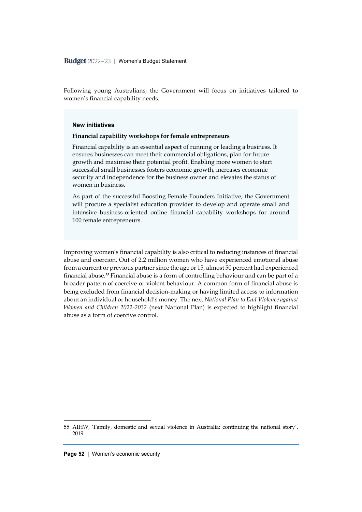Following young Australians, the Government will focus on initiatives tailored to women's financial capability needs.

#### **New initiatives**

#### **Financial capability workshops for female entrepreneurs**

Financial capability is an essential aspect of running or leading a business. It ensures businesses can meet their commercial obligations, plan for future growth and maximise their potential profit. Enabling more women to start successful small businesses fosters economic growth, increases economic security and independence for the business owner and elevates the status of women in business.

As part of the successful Boosting Female Founders Initiative, the Government will procure a specialist education provider to develop and operate small and intensive business-oriented online financial capability workshops for around 100 female entrepreneurs.

Improving women's financial capability is also critical to reducing instances of financial abuse and coercion. Out of 2.2 million women who have experienced emotional abuse from a current or previous partner since the age or 15, almost 50 percent had experienced financial abuse.<sup>55</sup> Financial abuse is a form of controlling behaviour and can be part of a broader pattern of coercive or violent behaviour. A common form of financial abuse is being excluded from financial decision-making or having limited access to information about an individual or household's money. The next *National Plan to End Violence against Women and Children 2022-2032* (next National Plan) is expected to highlight financial abuse as a form of coercive control.

<sup>55</sup> AIHW, 'Family, domestic and sexual violence in Australia: continuing the national story', 2019.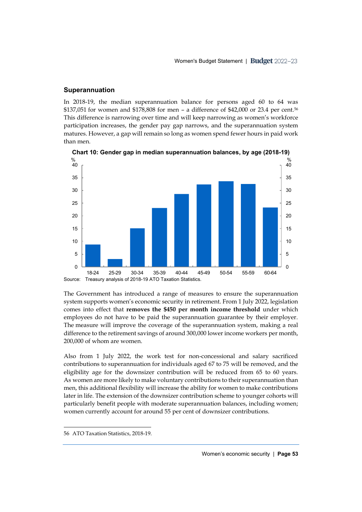#### **Superannuation**

In 2018-19, the median superannuation balance for persons aged 60 to 64 was \$137,051 for women and \$178,808 for men – a difference of \$42,000 or 23.4 per cent.<sup>56</sup> This difference is narrowing over time and will keep narrowing as women's workforce participation increases, the gender pay gap narrows, and the superannuation system matures. However, a gap will remain so long as women spend fewer hours in paid work than men.



**Chart 10: Gender gap in median superannuation balances, by age (2018-19)**

The Government has introduced a range of measures to ensure the superannuation system supports women's economic security in retirement. From 1 July 2022, legislation comes into effect that **removes the \$450 per month income threshold** under which employees do not have to be paid the superannuation guarantee by their employer. The measure will improve the coverage of the superannuation system, making a real difference to the retirement savings of around 300,000 lower income workers per month, 200,000 of whom are women.

Also from 1 July 2022, the work test for non-concessional and salary sacrificed contributions to superannuation for individuals aged 67 to 75 will be removed, and the eligibility age for the downsizer contribution will be reduced from 65 to 60 years. As women are more likely to make voluntary contributions to their superannuation than men, this additional flexibility will increase the ability for women to make contributions later in life. The extension of the downsizer contribution scheme to younger cohorts will particularly benefit people with moderate superannuation balances, including women; women currently account for around 55 per cent of downsizer contributions.

<sup>56</sup> ATO Taxation Statistics, 2018-19.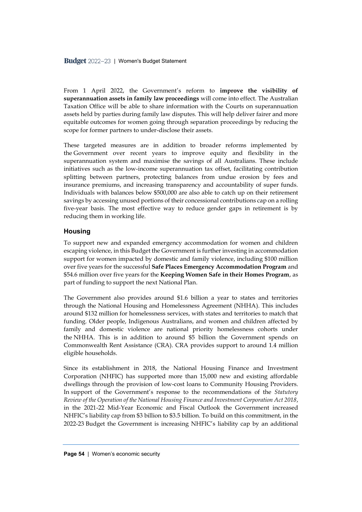From 1 April 2022, the Government's reform to **improve the visibility of superannuation assets in family law proceedings** will come into effect. The Australian Taxation Office will be able to share information with the Courts on superannuation assets held by parties during family law disputes. This will help deliver fairer and more equitable outcomes for women going through separation proceedings by reducing the scope for former partners to under-disclose their assets.

These targeted measures are in addition to broader reforms implemented by the Government over recent years to improve equity and flexibility in the superannuation system and maximise the savings of all Australians. These include initiatives such as the low-income superannuation tax offset, facilitating contribution splitting between partners, protecting balances from undue erosion by fees and insurance premiums, and increasing transparency and accountability of super funds. Individuals with balances below \$500,000 are also able to catch up on their retirement savings by accessing unused portions of their concessional contributions cap on a rolling five-year basis. The most effective way to reduce gender gaps in retirement is by reducing them in working life.

### **Housing**

To support new and expanded emergency accommodation for women and children escaping violence, in this Budget the Government is further investing in accommodation support for women impacted by domestic and family violence, including \$100 million over five years for the successful **Safe Places Emergency Accommodation Program** and \$54.6 million over five years for the **Keeping Women Safe in their Homes Program**, as part of funding to support the next National Plan.

The Government also provides around \$1.6 billion a year to states and territories through the National Housing and Homelessness Agreement (NHHA). This includes around \$132 million for homelessness services, with states and territories to match that funding. Older people, Indigenous Australians, and women and children affected by family and domestic violence are national priority homelessness cohorts under the NHHA. This is in addition to around \$5 billion the Government spends on Commonwealth Rent Assistance (CRA). CRA provides support to around 1.4 million eligible households.

Since its establishment in 2018, the National Housing Finance and Investment Corporation (NHFIC) has supported more than 15,000 new and existing affordable dwellings through the provision of low-cost loans to Community Housing Providers. In support of the Government's response to the recommendations of the *Statutory Review of the Operation of the National Housing Finance and Investment Corporation Act 2018*, in the 2021-22 Mid-Year Economic and Fiscal Outlook the Government increased NHFIC's liability cap from \$3 billion to \$3.5 billion. To build on this commitment, in the 2022-23 Budget the Government is increasing NHFIC's liability cap by an additional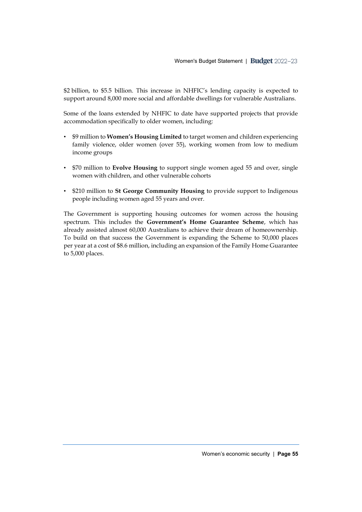\$2 billion, to \$5.5 billion. This increase in NHFIC's lending capacity is expected to support around 8,000 more social and affordable dwellings for vulnerable Australians.

Some of the loans extended by NHFIC to date have supported projects that provide accommodation specifically to older women, including:

- \$9 million to **Women's Housing Limited** to target women and children experiencing family violence, older women (over 55), working women from low to medium income groups
- \$70 million to **Evolve Housing** to support single women aged 55 and over, single women with children, and other vulnerable cohorts
- \$210 million to **St George Community Housing** to provide support to Indigenous people including women aged 55 years and over.

The Government is supporting housing outcomes for women across the housing spectrum. This includes the **Government's Home Guarantee Scheme**, which has already assisted almost 60,000 Australians to achieve their dream of homeownership. To build on that success the Government is expanding the Scheme to 50,000 places per year at a cost of \$8.6 million, including an expansion of the Family Home Guarantee to 5,000 places.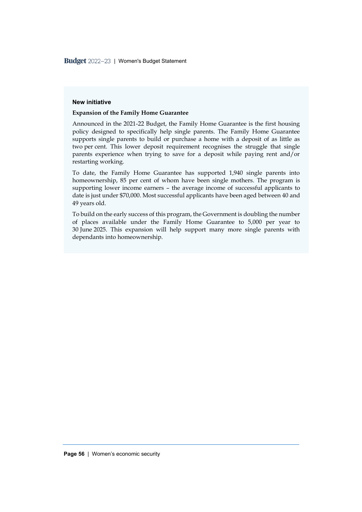#### **New initiative**

#### **Expansion of the Family Home Guarantee**

Announced in the 2021-22 Budget, the Family Home Guarantee is the first housing policy designed to specifically help single parents. The Family Home Guarantee supports single parents to build or purchase a home with a deposit of as little as two per cent. This lower deposit requirement recognises the struggle that single parents experience when trying to save for a deposit while paying rent and/or restarting working.

To date, the Family Home Guarantee has supported 1,940 single parents into homeownership, 85 per cent of whom have been single mothers. The program is supporting lower income earners – the average income of successful applicants to date is just under \$70,000. Most successful applicants have been aged between 40 and 49 years old.

To build on the early success of this program, the Government is doubling the number of places available under the Family Home Guarantee to 5,000 per year to 30 June 2025. This expansion will help support many more single parents with dependants into homeownership.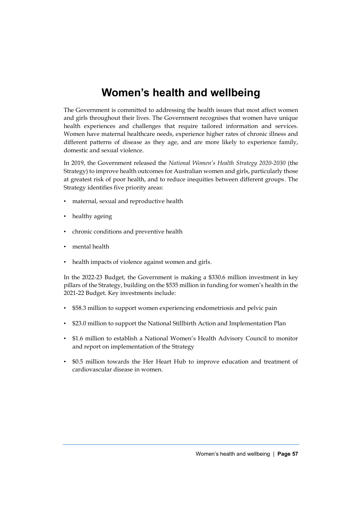# **Women's health and wellbeing**

The Government is committed to addressing the health issues that most affect women and girls throughout their lives. The Government recognises that women have unique health experiences and challenges that require tailored information and services. Women have maternal healthcare needs, experience higher rates of chronic illness and different patterns of disease as they age, and are more likely to experience family, domestic and sexual violence.

In 2019, the Government released the *National Women's Health Strategy 2020-2030* (the Strategy) to improve health outcomes for Australian women and girls, particularly those at greatest risk of poor health, and to reduce inequities between different groups. The Strategy identifies five priority areas:

- maternal, sexual and reproductive health
- healthy ageing
- chronic conditions and preventive health
- mental health
- health impacts of violence against women and girls.

In the 2022-23 Budget, the Government is making a \$330.6 million investment in key pillars of the Strategy, building on the \$535 million in funding for women's health in the 2021-22 Budget. Key investments include:

- \$58.3 million to support women experiencing endometriosis and pelvic pain
- \$23.0 million to support the National Stillbirth Action and Implementation Plan
- \$1.6 million to establish a National Women's Health Advisory Council to monitor and report on implementation of the Strategy
- \$0.5 million towards the Her Heart Hub to improve education and treatment of cardiovascular disease in women.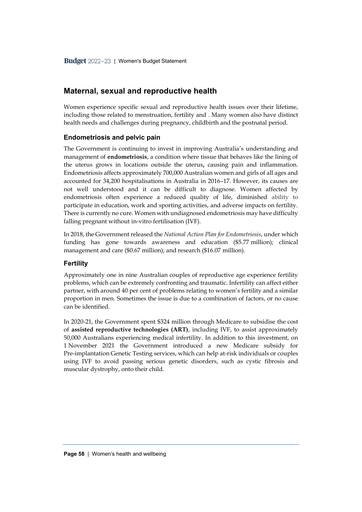# **Maternal, sexual and reproductive health**

Women experience specific sexual and reproductive health issues over their lifetime, including those related to menstruation, fertility and . Many women also have distinct health needs and challenges during pregnancy, childbirth and the postnatal period.

# **Endometriosis and pelvic pain**

The Government is continuing to invest in improving Australia's understanding and management of **endometriosis**, a condition where tissue that behaves like the lining of the uterus grows in locations outside the uterus**,** causing pain and inflammation. Endometriosis affects approximately 700,000 Australian women and girls of all ages and accounted for 34,200 hospitalisations in Australia in 2016–17. However, its causes are not well understood and it can be difficult to diagnose. Women affected by endometriosis often experience a reduced quality of life, diminished ability to participate in education, work and sporting activities, and adverse impacts on fertility. There is currently no cure. Women with undiagnosed endometriosis may have difficulty falling pregnant without in-vitro fertilisation (IVF).

In 2018, the Government released the *National Action Plan for Endometriosis*, under which funding has gone towards awareness and education (\$5.77 million); clinical management and care (\$0.67 million); and research (\$16.07 million).

### **Fertility**

Approximately one in nine Australian couples of reproductive age experience fertility problems, which can be extremely confronting and traumatic. Infertility can affect either partner, with around 40 per cent of problems relating to women's fertility and a similar proportion in men. Sometimes the issue is due to a combination of factors, or no cause can be identified.

In 2020-21, the Government spent \$324 million through Medicare to subsidise the cost of **assisted reproductive technologies (ART)**, including IVF, to assist approximately 50,000 Australians experiencing medical infertility. In addition to this investment, on 1 November 2021 the Government introduced a new Medicare subsidy for Pre-implantation Genetic Testing services, which can help at-risk individuals or couples using IVF to avoid passing serious genetic disorders, such as cystic fibrosis and muscular dystrophy, onto their child.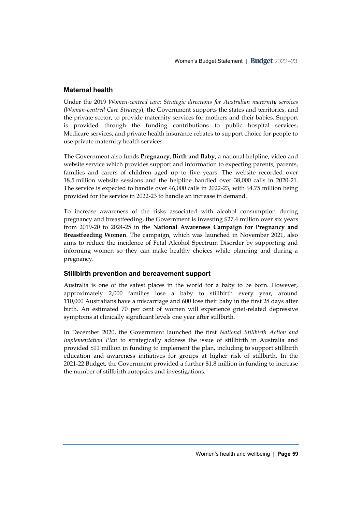### **Maternal health**

Under the 2019 *Women-centred care: Strategic directions for Australian maternity services* (*Woman-centred Care Strategy*), the Government supports the states and territories, and the private sector, to provide maternity services for mothers and their babies. Support is provided through the funding contributions to public hospital services, Medicare services, and private health insurance rebates to support choice for people to use private maternity health services.

The Government also funds **Pregnancy, Birth and Baby,** a national helpline, video and website service which provides support and information to expecting parents, parents, families and carers of children aged up to five years. The website recorded over 18.5 million website sessions and the helpline handled over 38,000 calls in 2020-21. The service is expected to handle over 46,000 calls in 2022-23, with \$4.75 million being provided for the service in 2022-23 to handle an increase in demand.

To increase awareness of the risks associated with alcohol consumption during pregnancy and breastfeeding, the Government is investing \$27.4 million over six years from 2019-20 to 2024-25 in the **National Awareness Campaign for Pregnancy and Breastfeeding Women**. The campaign, which was launched in November 2021, also aims to reduce the incidence of Fetal Alcohol Spectrum Disorder by supporting and informing women so they can make healthy choices while planning and during a pregnancy.

# **Stillbirth prevention and bereavement support**

Australia is one of the safest places in the world for a baby to be born. However, approximately 2,000 families lose a baby to stillbirth every year, around 110,000 Australians have a miscarriage and 600 lose their baby in the first 28 days after birth. An estimated 70 per cent of women will experience grief-related depressive symptoms at clinically significant levels one year after stillbirth.

In December 2020, the Government launched the first *National Stillbirth Action and Implementation Plan* to strategically address the issue of stillbirth in Australia and provided \$11 million in funding to implement the plan, including to support stillbirth education and awareness initiatives for groups at higher risk of stillbirth. In the 2021-22 Budget, the Government provided a further \$1.8 million in funding to increase the number of stillbirth autopsies and investigations.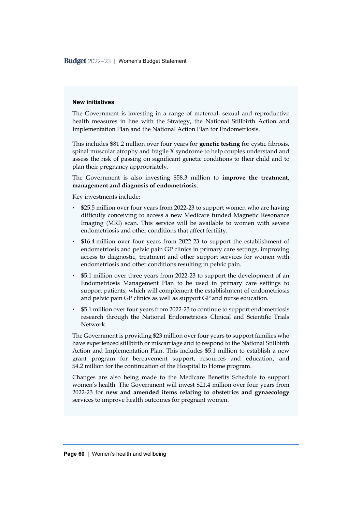#### **New initiatives**

The Government is investing in a range of maternal, sexual and reproductive health measures in line with the Strategy, the National Stillbirth Action and Implementation Plan and the National Action Plan for Endometriosis.

This includes \$81.2 million over four years for **genetic testing** for cystic fibrosis, spinal muscular atrophy and fragile X syndrome to help couples understand and assess the risk of passing on significant genetic conditions to their child and to plan their pregnancy appropriately.

The Government is also investing \$58.3 million to **improve the treatment, management and diagnosis of endometriosis**.

Key investments include:

- \$25.5 million over four years from 2022-23 to support women who are having difficulty conceiving to access a new Medicare funded Magnetic Resonance Imaging (MRI) scan. This service will be available to women with severe endometriosis and other conditions that affect fertility.
- \$16.4 million over four years from 2022-23 to support the establishment of endometriosis and pelvic pain GP clinics in primary care settings, improving access to diagnostic, treatment and other support services for women with endometriosis and other conditions resulting in pelvic pain.
- \$5.1 million over three years from 2022-23 to support the development of an Endometriosis Management Plan to be used in primary care settings to support patients, which will complement the establishment of endometriosis and pelvic pain GP clinics as well as support GP and nurse education.
- \$5.1 million over four years from 2022-23 to continue to support endometriosis research through the National Endometriosis Clinical and Scientific Trials Network.

The Government is providing \$23 million over four years to support families who have experienced stillbirth or miscarriage and to respond to the National Stillbirth Action and Implementation Plan. This includes \$5.1 million to establish a new grant program for bereavement support, resources and education, and \$4.2 million for the continuation of the Hospital to Home program.

Changes are also being made to the Medicare Benefits Schedule to support women's health. The Government will invest \$21.4 million over four years from 2022-23 for **new and amended items relating to obstetrics and gynaecology** services to improve health outcomes for pregnant women.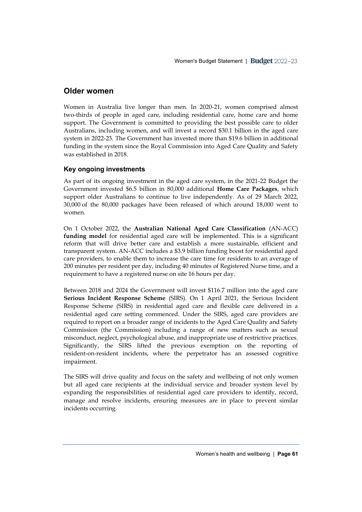# **Older women**

Women in Australia live longer than men. In 2020-21, women comprised almost two-thirds of people in aged care, including residential care, home care and home support. The Government is committed to providing the best possible care to older Australians, including women, and will invest a record \$30.1 billion in the aged care system in 2022-23. The Government has invested more than \$19.6 billion in additional funding in the system since the Royal Commission into Aged Care Quality and Safety was established in 2018.

# **Key ongoing investments**

As part of its ongoing investment in the aged care system, in the 2021-22 Budget the Government invested \$6.5 billion in 80,000 additional **Home Care Packages**, which support older Australians to continue to live independently. As of 29 March 2022, 30,000 of the 80,000 packages have been released of which around 18,000 went to women.

On 1 October 2022, the **Australian National Aged Care Classification** (AN-ACC) **funding model** for residential aged care will be implemented. This is a significant reform that will drive better care and establish a more sustainable, efficient and transparent system. AN-ACC includes a \$3.9 billion funding boost for residential aged care providers, to enable them to increase the care time for residents to an average of 200 minutes per resident per day, including 40 minutes of Registered Nurse time, and a requirement to have a registered nurse on site 16 hours per day.

Between 2018 and 2024 the Government will invest \$116.7 million into the aged care **Serious Incident Response Scheme** (SIRS). On 1 April 2021, the Serious Incident Response Scheme (SIRS) in residential aged care and flexible care delivered in a residential aged care setting commenced. Under the SIRS, aged care providers are required to report on a broader range of incidents to the Aged Care Quality and Safety Commission (the Commission) including a range of new matters such as sexual misconduct, neglect, psychological abuse, and inappropriate use of restrictive practices. Significantly, the SIRS lifted the previous exemption on the reporting of resident-on-resident incidents, where the perpetrator has an assessed cognitive impairment.

The SIRS will drive quality and focus on the safety and wellbeing of not only women but all aged care recipients at the individual service and broader system level by expanding the responsibilities of residential aged care providers to identify, record, manage and resolve incidents, ensuring measures are in place to prevent similar incidents occurring.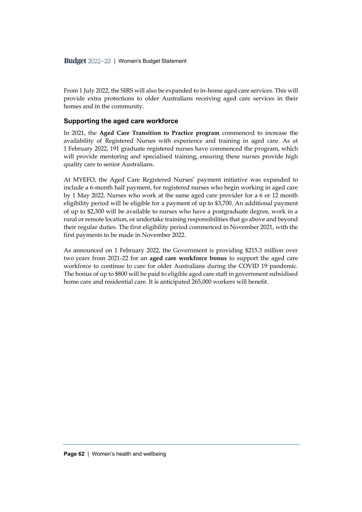From 1 July 2022, the SIRS will also be expanded to in-home aged care services. This will provide extra protections to older Australians receiving aged care services in their homes and in the community.

### **Supporting the aged care workforce**

In 2021, the **Aged Care Transition to Practice program** commenced to increase the availability of Registered Nurses with experience and training in aged care. As at 1 February 2022, 191 graduate registered nurses have commenced the program, which will provide mentoring and specialised training, ensuring these nurses provide high quality care to senior Australians.

At MYEFO, the Aged Care Registered Nurses' payment initiative was expanded to include a 6-month half payment, for registered nurses who begin working in aged care by 1 May 2022. Nurses who work at the same aged care provider for a 6 or 12 month eligibility period will be eligible for a payment of up to \$3,700. An additional payment of up to \$2,300 will be available to nurses who have a postgraduate degree, work in a rural or remote location, or undertake training responsibilities that go above and beyond their regular duties. The first eligibility period commenced in November 2021, with the first payments to be made in November 2022.

As announced on 1 February 2022, the Government is providing \$215.3 million over two years from 2021-22 for an **aged care workforce bonus** to support the aged care workforce to continue to care for older Australians during the COVID 19 pandemic. The bonus of up to \$800 will be paid to eligible aged care staff in government subsidised home care and residential care. It is anticipated 265,000 workers will benefit.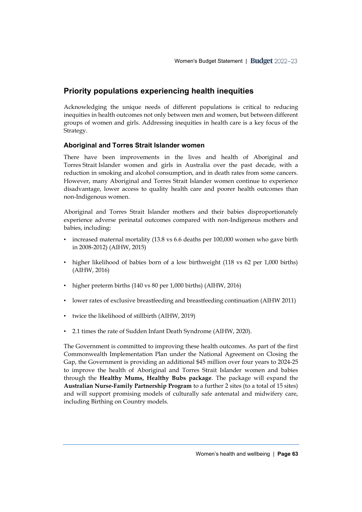# **Priority populations experiencing health inequities**

Acknowledging the unique needs of different populations is critical to reducing inequities in health outcomes not only between men and women, but between different groups of women and girls. Addressing inequities in health care is a key focus of the Strategy.

# **Aboriginal and Torres Strait Islander women**

There have been improvements in the lives and health of Aboriginal and Torres Strait Islander women and girls in Australia over the past decade, with a reduction in smoking and alcohol consumption, and in death rates from some cancers. However, many Aboriginal and Torres Strait Islander women continue to experience disadvantage, lower access to quality health care and poorer health outcomes than non-Indigenous women.

Aboriginal and Torres Strait Islander mothers and their babies disproportionately experience adverse perinatal outcomes compared with non-Indigenous mothers and babies, including:

- increased maternal mortality (13.8 vs 6.6 deaths per 100,000 women who gave birth in 2008-2012) (AIHW, 2015)
- higher likelihood of babies born of a low birthweight (118 vs 62 per 1,000 births) (AIHW, 2016)
- higher preterm births (140 vs 80 per 1,000 births) (AIHW, 2016)
- lower rates of exclusive breastfeeding and breastfeeding continuation (AIHW 2011)
- twice the likelihood of stillbirth (AIHW, 2019)
- 2.1 times the rate of Sudden Infant Death Syndrome (AIHW, 2020).

The Government is committed to improving these health outcomes. As part of the first Commonwealth Implementation Plan under the National Agreement on Closing the Gap, the Government is providing an additional \$45 million over four years to 2024-25 to improve the health of Aboriginal and Torres Strait Islander women and babies through the **Healthy Mums, Healthy Bubs package**. The package will expand the **Australian Nurse-Family Partnership Program** to a further 2 sites (to a total of 15 sites) and will support promising models of culturally safe antenatal and midwifery care, including Birthing on Country models.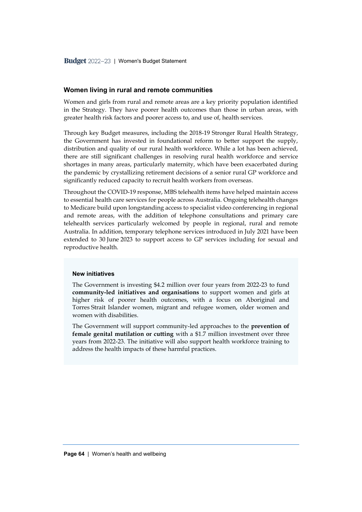#### **Women living in rural and remote communities**

Women and girls from rural and remote areas are a key priority population identified in the Strategy. They have poorer health outcomes than those in urban areas, with greater health risk factors and poorer access to, and use of, health services.

Through key Budget measures, including the 2018-19 Stronger Rural Health Strategy, the Government has invested in foundational reform to better support the supply, distribution and quality of our rural health workforce. While a lot has been achieved, there are still significant challenges in resolving rural health workforce and service shortages in many areas, particularly maternity, which have been exacerbated during the pandemic by crystallizing retirement decisions of a senior rural GP workforce and significantly reduced capacity to recruit health workers from overseas.

Throughout the COVID-19 response, MBS telehealth items have helped maintain access to essential health care services for people across Australia. Ongoing telehealth changes to Medicare build upon longstanding access to specialist video conferencing in regional and remote areas, with the addition of telephone consultations and primary care telehealth services particularly welcomed by people in regional, rural and remote Australia. In addition, temporary telephone services introduced in July 2021 have been extended to 30 June 2023 to support access to GP services including for sexual and reproductive health.

#### **New initiatives**

The Government is investing \$4.2 million over four years from 2022-23 to fund **community-led initiatives and organisations** to support women and girls at higher risk of poorer health outcomes, with a focus on Aboriginal and Torres Strait Islander women, migrant and refugee women, older women and women with disabilities.

The Government will support community-led approaches to the **prevention of female genital mutilation or cutting** with a \$1.7 million investment over three years from 2022-23. The initiative will also support health workforce training to address the health impacts of these harmful practices.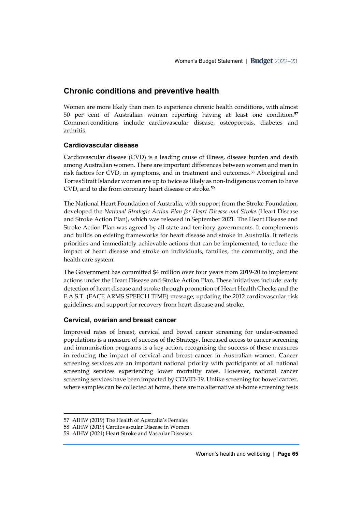# **Chronic conditions and preventive health**

Women are more likely than men to experience chronic health conditions, with almost 50 per cent of Australian women reporting having at least one condition.<sup>57</sup> Common conditions include cardiovascular disease, osteoporosis, diabetes and arthritis.

# **Cardiovascular disease**

Cardiovascular disease (CVD) is a leading cause of illness, disease burden and death among Australian women. There are important differences between women and men in risk factors for CVD, in symptoms, and in treatment and outcomes.<sup>58</sup> Aboriginal and Torres Strait Islander women are up to twice as likely as non-Indigenous women to have CVD, and to die from coronary heart disease or stroke.<sup>59</sup>

The National Heart Foundation of Australia, with support from the Stroke Foundation, developed the *National Strategic Action Plan for Heart Disease and Stroke* (Heart Disease and Stroke Action Plan), which was released in September 2021. The Heart Disease and Stroke Action Plan was agreed by all state and territory governments. It complements and builds on existing frameworks for heart disease and stroke in Australia. It reflects priorities and immediately achievable actions that can be implemented, to reduce the impact of heart disease and stroke on individuals, families, the community, and the health care system.

The Government has committed \$4 million over four years from 2019-20 to implement actions under the Heart Disease and Stroke Action Plan. These initiatives include: early detection of heart disease and stroke through promotion of Heart Health Checks and the F.A.S.T. (FACE ARMS SPEECH TIME) message; updating the 2012 cardiovascular risk guidelines, and support for recovery from heart disease and stroke.

# **Cervical, ovarian and breast cancer**

Improved rates of breast, cervical and bowel cancer screening for under-screened populations is a measure of success of the Strategy. Increased access to cancer screening and immunisation programs is a key action, recognising the success of these measures in reducing the impact of cervical and breast cancer in Australian women. Cancer screening services are an important national priority with participants of all national screening services experiencing lower mortality rates. However, national cancer screening services have been impacted by COVID-19. Unlike screening for bowel cancer, where samples can be collected at home, there are no alternative at-home screening tests

<sup>57</sup> AIHW (2019) The Health of Australia's Females

<sup>58</sup> AIHW (2019) Cardiovascular Disease in Women

<sup>59</sup> AIHW (2021) Heart Stroke and Vascular Diseases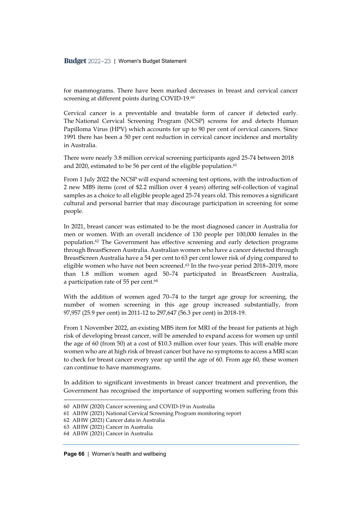for mammograms. There have been marked decreases in breast and cervical cancer screening at different points during COVID-19.<sup>60</sup>

Cervical cancer is a preventable and treatable form of cancer if detected early. The National Cervical Screening Program (NCSP) screens for and detects Human Papilloma Virus (HPV) which accounts for up to 90 per cent of cervical cancers. Since 1991 there has been a 50 per cent reduction in cervical cancer incidence and mortality in Australia.

There were nearly 3.8 million cervical screening participants aged 25-74 between 2018 and 2020, estimated to be 56 per cent of the eligible population. 61

From 1 July 2022 the NCSP will expand screening test options, with the introduction of 2 new MBS items (cost of \$2.2 million over 4 years) offering self-collection of vaginal samples as a choice to all eligible people aged 25-74 years old. This removes a significant cultural and personal barrier that may discourage participation in screening for some people.

In 2021, breast cancer was estimated to be the most diagnosed cancer in Australia for men or women. With an overall incidence of 130 people per 100,000 females in the population. <sup>62</sup> The Government has effective screening and early detection programs through BreastScreen Australia. Australian women who have a cancer detected through BreastScreen Australia have a 54 per cent to 63 per cent lower risk of dying compared to eligible women who have not been screened. <sup>63</sup> In the two-year period 2018–2019, more than 1.8 million women aged 50–74 participated in BreastScreen Australia, a participation rate of 55 per cent. 64

With the addition of women aged 70–74 to the target age group for screening, the number of women screening in this age group increased substantially, from 97,957 (25.9 per cent) in 2011-12 to 297,647 (56.3 per cent) in 2018-19.

From 1 November 2022, an existing MBS item for MRI of the breast for patients at high risk of developing breast cancer, will be amended to expand access for women up until the age of 60 (from 50) at a cost of \$10.3 million over four years. This will enable more women who are at high risk of breast cancer but have no symptoms to access a MRI scan to check for breast cancer every year up until the age of 60. From age 60, these women can continue to have mammograms.

In addition to significant investments in breast cancer treatment and prevention, the Government has recognised the importance of supporting women suffering from this

<sup>60</sup> AIHW (2020) Cancer screening and COVID-19 in Australia

<sup>61</sup> AIHW (2021) National Cervical Screening Program monitoring report

<sup>62</sup> AIHW (2021) Cancer data in Australia

<sup>63</sup> AIHW (2021) Cancer in Australia

<sup>64</sup> AIHW (2021) Cancer in Australia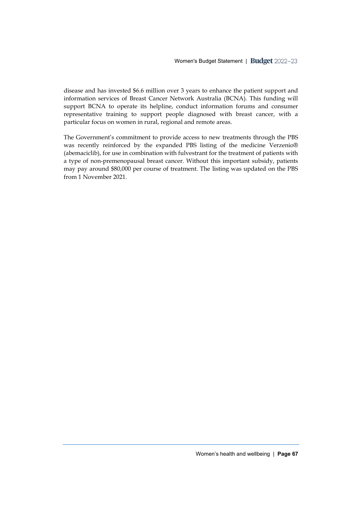disease and has invested \$6.6 million over 3 years to enhance the patient support and information services of Breast Cancer Network Australia (BCNA). This funding will support BCNA to operate its helpline, conduct information forums and consumer representative training to support people diagnosed with breast cancer, with a particular focus on women in rural, regional and remote areas.

The Government's commitment to provide access to new treatments through the PBS was recently reinforced by the expanded PBS listing of the medicine Verzenio® (abemaciclib), for use in combination with fulvestrant for the treatment of patients with a type of non-premenopausal breast cancer. Without this important subsidy, patients may pay around \$80,000 per course of treatment. The listing was updated on the PBS from 1 November 2021.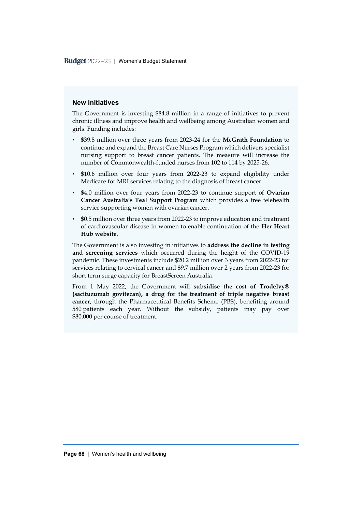#### **New initiatives**

The Government is investing \$84.8 million in a range of initiatives to prevent chronic illness and improve health and wellbeing among Australian women and girls. Funding includes:

- \$39.8 million over three years from 2023-24 for the **McGrath Foundation** to continue and expand the Breast Care Nurses Program which delivers specialist nursing support to breast cancer patients. The measure will increase the number of Commonwealth-funded nurses from 102 to 114 by 2025-26.
- \$10.6 million over four years from 2022-23 to expand eligibility under Medicare for MRI services relating to the diagnosis of breast cancer.
- \$4.0 million over four years from 2022-23 to continue support of **Ovarian Cancer Australia's Teal Support Program** which provides a free telehealth service supporting women with ovarian cancer.
- \$0.5 million over three years from 2022-23 to improve education and treatment of cardiovascular disease in women to enable continuation of the **Her Heart Hub website**.

The Government is also investing in initiatives to **address the decline in testing and screening services** which occurred during the height of the COVID-19 pandemic. These investments include \$20.2 million over 3 years from 2022-23 for services relating to cervical cancer and \$9.7 million over 2 years from 2022-23 for short term surge capacity for BreastScreen Australia.

From 1 May 2022, the Government will **subsidise the cost of Trodelvy® (sacituzumab govitecan), a drug for the treatment of triple negative breast cancer**, through the Pharmaceutical Benefits Scheme (PBS), benefiting around 580 patients each year. Without the subsidy, patients may pay over \$80,000 per course of treatment.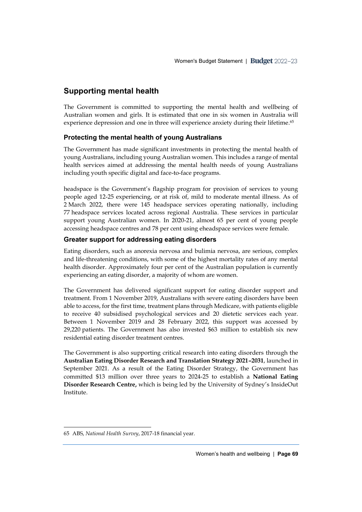# **Supporting mental health**

The Government is committed to supporting the mental health and wellbeing of Australian women and girls. It is estimated that one in six women in Australia will experience depression and one in three will experience anxiety during their lifetime. 65

# **Protecting the mental health of young Australians**

The Government has made significant investments in protecting the mental health of young Australians, including young Australian women. This includes a range of mental health services aimed at addressing the mental health needs of young Australians including youth specific digital and face-to-face programs.

headspace is the Government's flagship program for provision of services to young people aged 12-25 experiencing, or at risk of, mild to moderate mental illness. As of 2 March 2022, there were 145 headspace services operating nationally, including 77 headspace services located across regional Australia. These services in particular support young Australian women. In 2020-21, almost 65 per cent of young people accessing headspace centres and 78 per cent using eheadspace services were female.

# **Greater support for addressing eating disorders**

Eating disorders, such as anorexia nervosa and bulimia nervosa, are serious, complex and life-threatening conditions, with some of the highest mortality rates of any mental health disorder. Approximately four per cent of the Australian population is currently experiencing an eating disorder, a majority of whom are women.

The Government has delivered significant support for eating disorder support and treatment. From 1 November 2019, Australians with severe eating disorders have been able to access, for the first time, treatment plans through Medicare, with patients eligible to receive 40 subsidised psychological services and 20 dietetic services each year. Between 1 November 2019 and 28 February 2022, this support was accessed by 29,220 patients. The Government has also invested \$63 million to establish six new residential eating disorder treatment centres.

The Government is also supporting critical research into eating disorders through the **Australian Eating Disorder Research and Translation Strategy 2021–2031**, launched in September 2021. As a result of the Eating Disorder Strategy, the Government has committed \$13 million over three years to 2024-25 to establish a **National Eating Disorder Research Centre,** which is being led by the University of Sydney's InsideOut Institute.

<sup>65</sup> ABS, *National Health Survey*, 2017-18 financial year.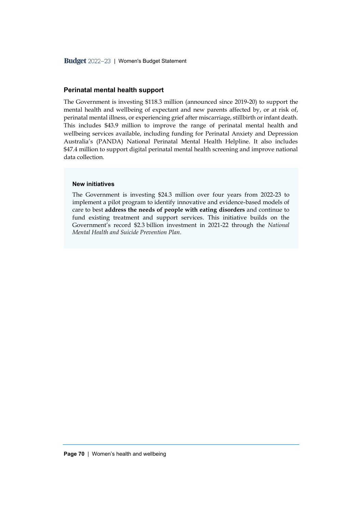### **Perinatal mental health support**

The Government is investing \$118.3 million (announced since 2019-20) to support the mental health and wellbeing of expectant and new parents affected by, or at risk of, perinatal mental illness, or experiencing grief after miscarriage, stillbirth or infant death. This includes \$43.9 million to improve the range of perinatal mental health and wellbeing services available, including funding for Perinatal Anxiety and Depression Australia's (PANDA) National Perinatal Mental Health Helpline. It also includes \$47.4 million to support digital perinatal mental health screening and improve national data collection.

### **New initiatives**

The Government is investing \$24.3 million over four years from 2022-23 to implement a pilot program to identify innovative and evidence-based models of care to best **address the needs of people with eating disorders** and continue to fund existing treatment and support services. This initiative builds on the Government's record \$2.3 billion investment in 2021-22 through the *National Mental Health and Suicide Prevention Plan.*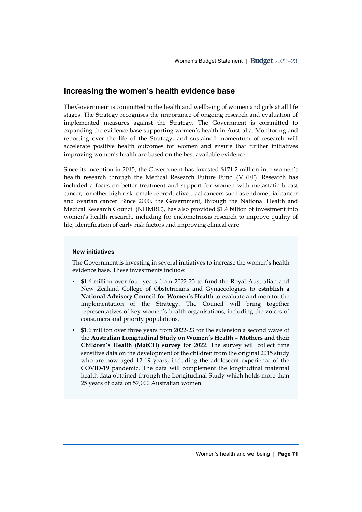## **Increasing the women's health evidence base**

The Government is committed to the health and wellbeing of women and girls at all life stages. The Strategy recognises the importance of ongoing research and evaluation of implemented measures against the Strategy. The Government is committed to expanding the evidence base supporting women's health in Australia. Monitoring and reporting over the life of the Strategy, and sustained momentum of research will accelerate positive health outcomes for women and ensure that further initiatives improving women's health are based on the best available evidence.

Since its inception in 2015, the Government has invested \$171.2 million into women's health research through the Medical Research Future Fund (MRFF). Research has included a focus on better treatment and support for women with metastatic breast cancer, for other high risk female reproductive tract cancers such as endometrial cancer and ovarian cancer. Since 2000, the Government, through the National Health and Medical Research Council (NHMRC), has also provided \$1.4 billion of investment into women's health research, including for endometriosis research to improve quality of life, identification of early risk factors and improving clinical care.

#### **New initiatives**

The Government is investing in several initiatives to increase the women's health evidence base. These investments include:

- \$1.6 million over four years from 2022-23 to fund the Royal Australian and New Zealand College of Obstetricians and Gynaecologists to **establish a National Advisory Council for Women's Health** to evaluate and monitor the implementation of the Strategy. The Council will bring together representatives of key women's health organisations, including the voices of consumers and priority populations.
- \$1.6 million over three years from 2022-23 for the extension a second wave of the **Australian Longitudinal Study on Women's Health – Mothers and their Children's Health (MatCH) survey** for 2022. The survey will collect time sensitive data on the development of the children from the original 2015 study who are now aged 12-19 years, including the adolescent experience of the COVID-19 pandemic. The data will complement the longitudinal maternal health data obtained through the Longitudinal Study which holds more than 25 years of data on 57,000 Australian women.